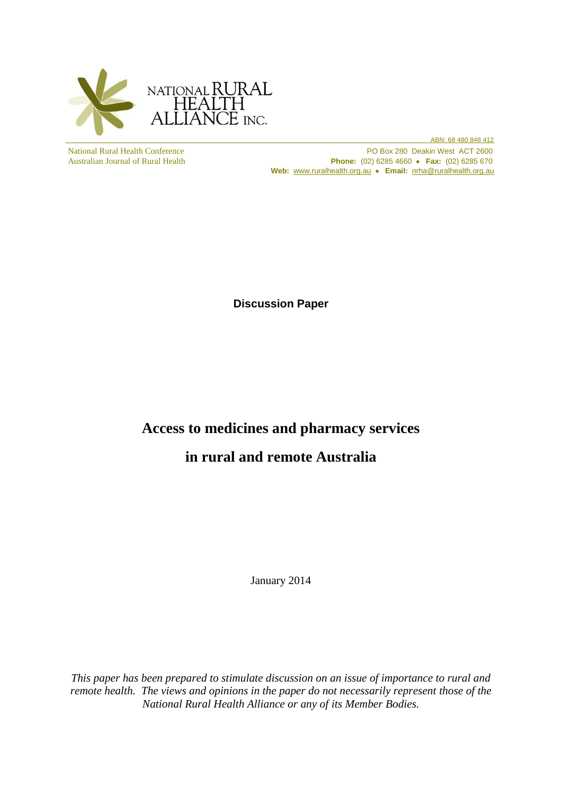

 ABN: 68 480 848 412 National Rural Health Conference PO Box 280 Deakin West ACT 2600<br>Australian Journal of Rural Health Phone: (02) 6285 4660 • Fax: (02) 6285 670 **Phone:** (02) 6285 4660 **• Fax:** (02) 6285 670 Web: [www.ruralhealth.org.au](http://www.ruralhealth.org.au/) • Email: [nrha@ruralhealth.org.au](mailto:nrha@ruralhealth.org.au)

**Discussion Paper**

# **Access to medicines and pharmacy services**

# **in rural and remote Australia**

January 2014

*This paper has been prepared to stimulate discussion on an issue of importance to rural and remote health. The views and opinions in the paper do not necessarily represent those of the National Rural Health Alliance or any of its Member Bodies.*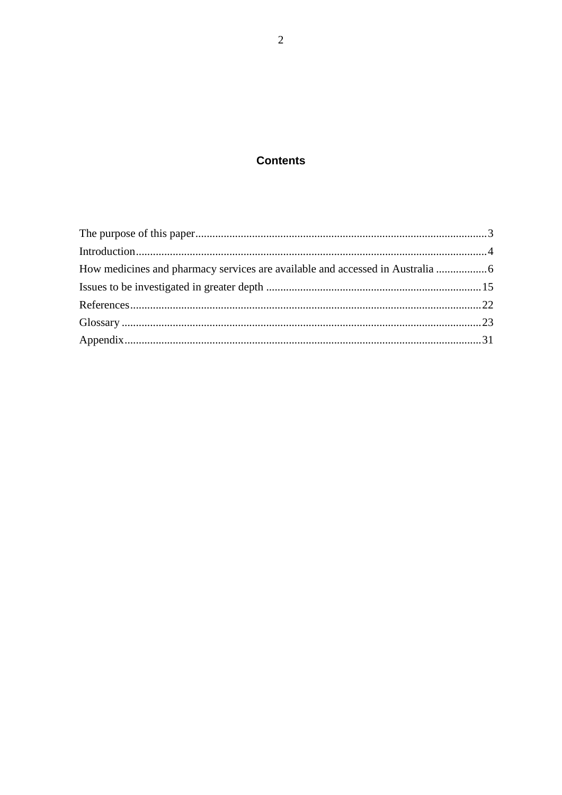# **Contents**

| How medicines and pharmacy services are available and accessed in Australia |  |
|-----------------------------------------------------------------------------|--|
|                                                                             |  |
|                                                                             |  |
|                                                                             |  |
|                                                                             |  |
|                                                                             |  |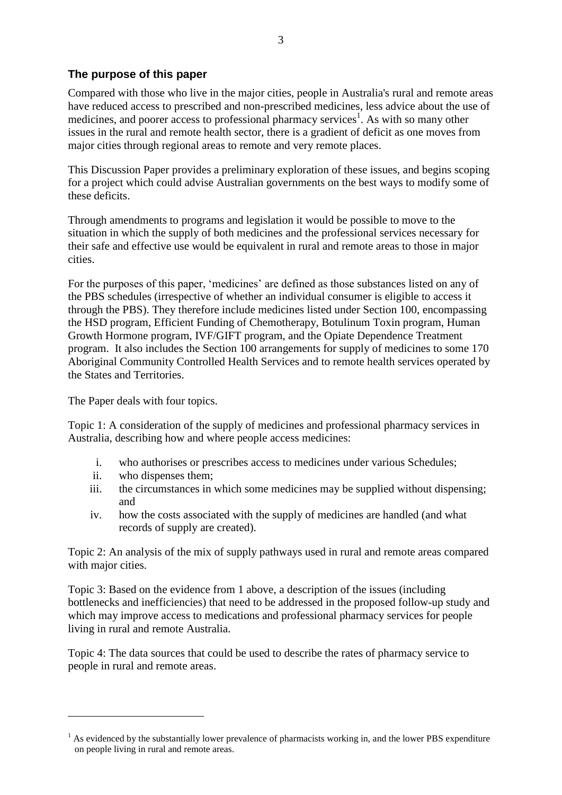# <span id="page-2-0"></span>**The purpose of this paper**

Compared with those who live in the major cities, people in Australia's rural and remote areas have reduced access to prescribed and non-prescribed medicines, less advice about the use of medicines, and poorer access to professional pharmacy services<sup>1</sup>. As with so many other issues in the rural and remote health sector, there is a gradient of deficit as one moves from major cities through regional areas to remote and very remote places.

This Discussion Paper provides a preliminary exploration of these issues, and begins scoping for a project which could advise Australian governments on the best ways to modify some of these deficits.

Through amendments to programs and legislation it would be possible to move to the situation in which the supply of both medicines and the professional services necessary for their safe and effective use would be equivalent in rural and remote areas to those in major cities.

For the purposes of this paper, 'medicines' are defined as those substances listed on any of the PBS schedules (irrespective of whether an individual consumer is eligible to access it through the PBS). They therefore include medicines listed under Section 100, encompassing the HSD program, Efficient Funding of Chemotherapy, Botulinum Toxin program, Human Growth Hormone program, IVF/GIFT program, and the Opiate Dependence Treatment program. It also includes the Section 100 arrangements for supply of medicines to some 170 Aboriginal Community Controlled Health Services and to remote health services operated by the States and Territories.

The Paper deals with four topics.

Topic 1: A consideration of the supply of medicines and professional pharmacy services in Australia, describing how and where people access medicines:

- i. who authorises or prescribes access to medicines under various Schedules;
- ii. who dispenses them;

1

- iii. the circumstances in which some medicines may be supplied without dispensing; and
- iv. how the costs associated with the supply of medicines are handled (and what records of supply are created).

Topic 2: An analysis of the mix of supply pathways used in rural and remote areas compared with major cities.

Topic 3: Based on the evidence from 1 above, a description of the issues (including bottlenecks and inefficiencies) that need to be addressed in the proposed follow-up study and which may improve access to medications and professional pharmacy services for people living in rural and remote Australia.

Topic 4: The data sources that could be used to describe the rates of pharmacy service to people in rural and remote areas.

<sup>&</sup>lt;sup>1</sup> As evidenced by the substantially lower prevalence of pharmacists working in, and the lower PBS expenditure on people living in rural and remote areas.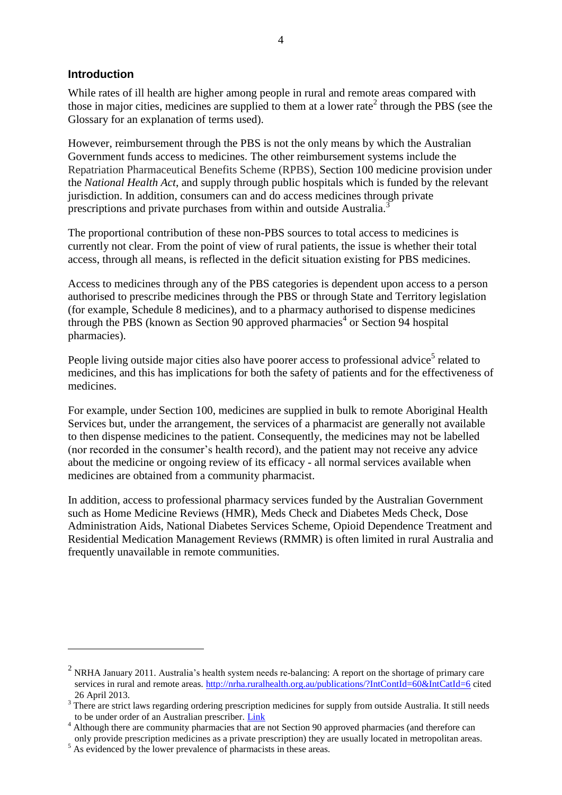#### <span id="page-3-0"></span>**Introduction**

<u>.</u>

While rates of ill health are higher among people in rural and remote areas compared with those in major cities, medicines are supplied to them at a lower rate<sup>2</sup> through the PBS (see the Glossary for an explanation of terms used).

However, reimbursement through the PBS is not the only means by which the Australian Government funds access to medicines. The other reimbursement systems include the Repatriation Pharmaceutical Benefits Scheme (RPBS), Section 100 medicine provision under the *National Health Act*, and supply through public hospitals which is funded by the relevant jurisdiction. In addition, consumers can and do access medicines through private prescriptions and private purchases from within and outside Australia.<sup>3</sup>

The proportional contribution of these non-PBS sources to total access to medicines is currently not clear. From the point of view of rural patients, the issue is whether their total access, through all means, is reflected in the deficit situation existing for PBS medicines.

Access to medicines through any of the PBS categories is dependent upon access to a person authorised to prescribe medicines through the PBS or through State and Territory legislation (for example, Schedule 8 medicines), and to a pharmacy authorised to dispense medicines through the PBS (known as Section 90 approved pharmacies<sup>4</sup> or Section 94 hospital pharmacies).

People living outside major cities also have poorer access to professional advice<sup>5</sup> related to medicines, and this has implications for both the safety of patients and for the effectiveness of medicines.

For example, under Section 100, medicines are supplied in bulk to remote Aboriginal Health Services but, under the arrangement, the services of a pharmacist are generally not available to then dispense medicines to the patient. Consequently, the medicines may not be labelled (nor recorded in the consumer's health record), and the patient may not receive any advice about the medicine or ongoing review of its efficacy - all normal services available when medicines are obtained from a community pharmacist.

In addition, access to professional pharmacy services funded by the Australian Government such as Home Medicine Reviews (HMR), Meds Check and Diabetes Meds Check, Dose Administration Aids, National Diabetes Services Scheme, Opioid Dependence Treatment and Residential Medication Management Reviews (RMMR) is often limited in rural Australia and frequently unavailable in remote communities.

<sup>&</sup>lt;sup>2</sup> NRHA January 2011. Australia's health system needs re-balancing: A report on the shortage of primary care services in rural and remote areas.<http://nrha.ruralhealth.org.au/publications/?IntContId=60&IntCatId=6> cited 26 April 2013.

<sup>&</sup>lt;sup>3</sup> There are strict laws regarding ordering prescription medicines for supply from outside Australia. It still needs to be under order of an Australian prescriber. [Link](http://www.tga.gov.au/consumers/information-online-internet.htm)

to be under order or all Australian preserved.  $\frac{1}{2}$   $\frac{1}{2}$  and therefore can although there are community pharmacies that are not Section 90 approved pharmacies (and therefore can only provide prescription medicines as a private prescription) they are usually located in metropolitan areas.

 $5$  As evidenced by the lower prevalence of pharmacists in these areas.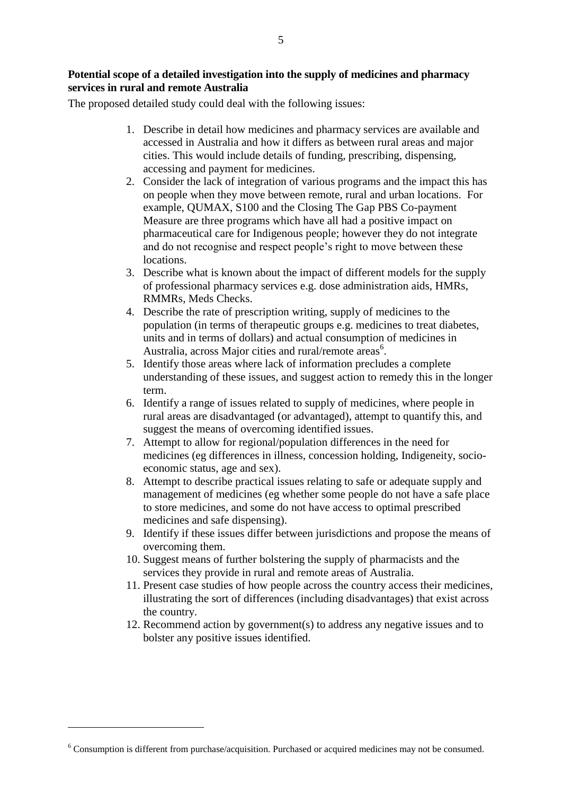#### **Potential scope of a detailed investigation into the supply of medicines and pharmacy services in rural and remote Australia**

The proposed detailed study could deal with the following issues:

- 1. Describe in detail how medicines and pharmacy services are available and accessed in Australia and how it differs as between rural areas and major cities. This would include details of funding, prescribing, dispensing, accessing and payment for medicines.
- 2. Consider the lack of integration of various programs and the impact this has on people when they move between remote, rural and urban locations. For example, QUMAX, S100 and the Closing The Gap PBS Co-payment Measure are three programs which have all had a positive impact on pharmaceutical care for Indigenous people; however they do not integrate and do not recognise and respect people's right to move between these locations.
- 3. Describe what is known about the impact of different models for the supply of professional pharmacy services e.g. dose administration aids, HMRs, RMMRs, Meds Checks.
- 4. Describe the rate of prescription writing, supply of medicines to the population (in terms of therapeutic groups e.g. medicines to treat diabetes, units and in terms of dollars) and actual consumption of medicines in Australia, across Major cities and rural/remote areas<sup>6</sup>.
- 5. Identify those areas where lack of information precludes a complete understanding of these issues, and suggest action to remedy this in the longer term.
- 6. Identify a range of issues related to supply of medicines, where people in rural areas are disadvantaged (or advantaged), attempt to quantify this, and suggest the means of overcoming identified issues.
- 7. Attempt to allow for regional/population differences in the need for medicines (eg differences in illness, concession holding, Indigeneity, socioeconomic status, age and sex).
- 8. Attempt to describe practical issues relating to safe or adequate supply and management of medicines (eg whether some people do not have a safe place to store medicines, and some do not have access to optimal prescribed medicines and safe dispensing).
- 9. Identify if these issues differ between jurisdictions and propose the means of overcoming them.
- 10. Suggest means of further bolstering the supply of pharmacists and the services they provide in rural and remote areas of Australia.
- 11. Present case studies of how people across the country access their medicines, illustrating the sort of differences (including disadvantages) that exist across the country.
- 12. Recommend action by government(s) to address any negative issues and to bolster any positive issues identified.

<sup>6</sup> Consumption is different from purchase/acquisition. Purchased or acquired medicines may not be consumed.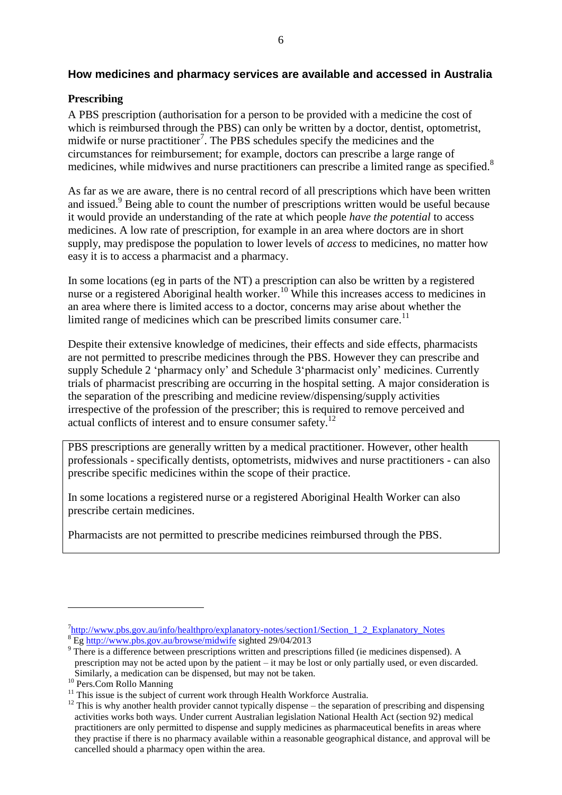#### <span id="page-5-0"></span>**How medicines and pharmacy services are available and accessed in Australia**

#### **Prescribing**

A PBS prescription (authorisation for a person to be provided with a medicine the cost of which is reimbursed through the PBS) can only be written by a doctor, dentist, optometrist, midwife or nurse practitioner<sup>7</sup>. The PBS schedules specify the medicines and the circumstances for reimbursement; for example, doctors can prescribe a large range of medicines, while midwives and nurse practitioners can prescribe a limited range as specified.<sup>8</sup>

As far as we are aware, there is no central record of all prescriptions which have been written and issued. <sup>9</sup> Being able to count the number of prescriptions written would be useful because it would provide an understanding of the rate at which people *have the potential* to access medicines. A low rate of prescription, for example in an area where doctors are in short supply, may predispose the population to lower levels of *access* to medicines, no matter how easy it is to access a pharmacist and a pharmacy.

In some locations (eg in parts of the NT) a prescription can also be written by a registered nurse or a registered Aboriginal health worker.<sup>10</sup> While this increases access to medicines in an area where there is limited access to a doctor, concerns may arise about whether the limited range of medicines which can be prescribed limits consumer care.<sup>11</sup>

Despite their extensive knowledge of medicines, their effects and side effects, pharmacists are not permitted to prescribe medicines through the PBS. However they can prescribe and supply Schedule 2 'pharmacy only' and Schedule 3'pharmacist only' medicines. Currently trials of pharmacist prescribing are occurring in the hospital setting. A major consideration is the separation of the prescribing and medicine review/dispensing/supply activities irrespective of the profession of the prescriber; this is required to remove perceived and actual conflicts of interest and to ensure consumer safety.<sup>12</sup>

PBS prescriptions are generally written by a medical practitioner. However, other health professionals - specifically dentists, optometrists, midwives and nurse practitioners - can also prescribe specific medicines within the scope of their practice.

In some locations a registered nurse or a registered Aboriginal Health Worker can also prescribe certain medicines.

Pharmacists are not permitted to prescribe medicines reimbursed through the PBS.

<sup>&</sup>lt;sup>7</sup>[http://www.pbs.gov.au/info/healthpro/explanatory-notes/section1/Section\\_1\\_2\\_Explanatory\\_Notes](http://www.pbs.gov.au/info/healthpro/explanatory-notes/section1/Section_1_2_Explanatory_Notes) <sup>8</sup> Eg<http://www.pbs.gov.au/browse/midwife> sighted 29/04/2013

<sup>&</sup>lt;sup>9</sup> There is a difference between prescriptions written and prescriptions filled (ie medicines dispensed). A prescription may not be acted upon by the patient – it may be lost or only partially used, or even discarded. Similarly, a medication can be dispensed, but may not be taken.

<sup>&</sup>lt;sup>10</sup> Pers.Com Rollo Manning

 $11$  This issue is the subject of current work through Health Workforce Australia.

 $12$  This is why another health provider cannot typically dispense – the separation of prescribing and dispensing activities works both ways. Under current Australian legislation National Health Act (section 92) medical practitioners are only permitted to dispense and supply medicines as pharmaceutical benefits in areas where they practise if there is no pharmacy available within a reasonable geographical distance, and approval will be cancelled should a pharmacy open within the area.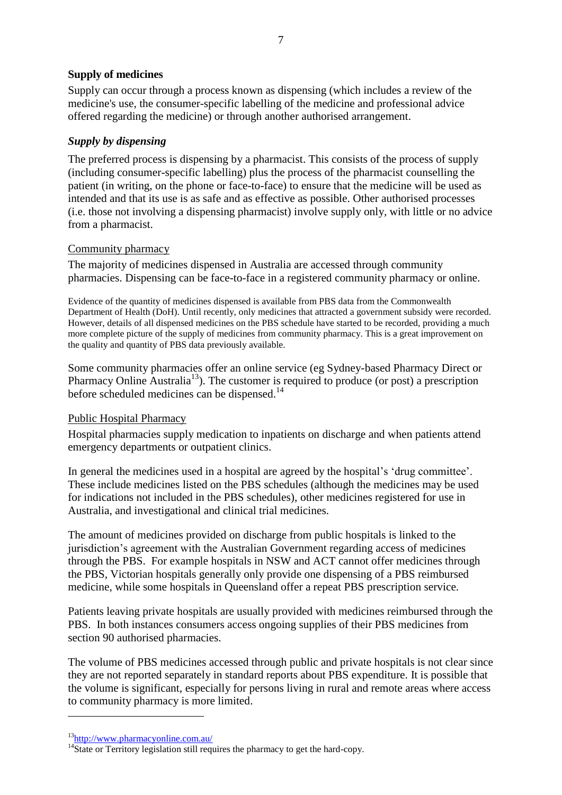#### **Supply of medicines**

Supply can occur through a process known as dispensing (which includes a review of the medicine's use, the consumer-specific labelling of the medicine and professional advice offered regarding the medicine) or through another authorised arrangement.

#### *Supply by dispensing*

The preferred process is dispensing by a pharmacist. This consists of the process of supply (including consumer-specific labelling) plus the process of the pharmacist counselling the patient (in writing, on the phone or face-to-face) to ensure that the medicine will be used as intended and that its use is as safe and as effective as possible. Other authorised processes (i.e. those not involving a dispensing pharmacist) involve supply only, with little or no advice from a pharmacist.

#### Community pharmacy

The majority of medicines dispensed in Australia are accessed through community pharmacies. Dispensing can be face-to-face in a registered community pharmacy or online.

Evidence of the quantity of medicines dispensed is available from PBS data from the Commonwealth Department of Health (DoH). Until recently, only medicines that attracted a government subsidy were recorded. However, details of all dispensed medicines on the PBS schedule have started to be recorded, providing a much more complete picture of the supply of medicines from community pharmacy. This is a great improvement on the quality and quantity of PBS data previously available.

Some community pharmacies offer an online service (eg Sydney-based Pharmacy Direct or Pharmacy Online Australia<sup>13</sup>). The customer is required to produce (or post) a prescription before scheduled medicines can be dispensed.<sup>14</sup>

## Public Hospital Pharmacy

Hospital pharmacies supply medication to inpatients on discharge and when patients attend emergency departments or outpatient clinics.

In general the medicines used in a hospital are agreed by the hospital's 'drug committee'. These include medicines listed on the PBS schedules (although the medicines may be used for indications not included in the PBS schedules), other medicines registered for use in Australia, and investigational and clinical trial medicines.

The amount of medicines provided on discharge from public hospitals is linked to the jurisdiction's agreement with the Australian Government regarding access of medicines through the PBS. For example hospitals in NSW and ACT cannot offer medicines through the PBS, Victorian hospitals generally only provide one dispensing of a PBS reimbursed medicine, while some hospitals in Queensland offer a repeat PBS prescription service.

Patients leaving private hospitals are usually provided with medicines reimbursed through the PBS. In both instances consumers access ongoing supplies of their PBS medicines from section 90 authorised pharmacies.

The volume of PBS medicines accessed through public and private hospitals is not clear since they are not reported separately in standard reports about PBS expenditure. It is possible that the volume is significant, especially for persons living in rural and remote areas where access to community pharmacy is more limited.

<sup>13</sup><http://www.pharmacyonline.com.au/>

 $14\overline{\text{State or Territory legislation still requires the pharmacy to get the hard-copy.}$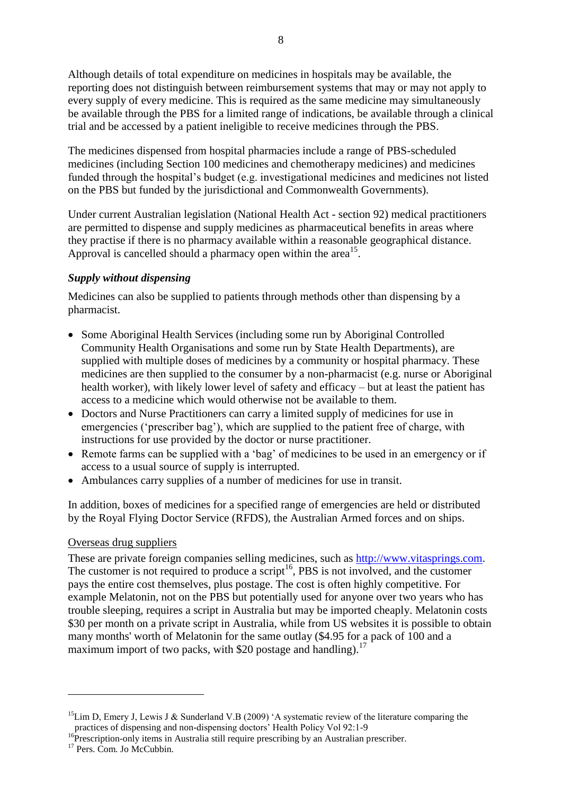Although details of total expenditure on medicines in hospitals may be available, the reporting does not distinguish between reimbursement systems that may or may not apply to every supply of every medicine. This is required as the same medicine may simultaneously be available through the PBS for a limited range of indications, be available through a clinical trial and be accessed by a patient ineligible to receive medicines through the PBS.

The medicines dispensed from hospital pharmacies include a range of PBS-scheduled medicines (including Section 100 medicines and chemotherapy medicines) and medicines funded through the hospital's budget (e.g. investigational medicines and medicines not listed on the PBS but funded by the jurisdictional and Commonwealth Governments).

Under current Australian legislation (National Health Act - section 92) medical practitioners are permitted to dispense and supply medicines as pharmaceutical benefits in areas where they practise if there is no pharmacy available within a reasonable geographical distance. Approval is cancelled should a pharmacy open within the area<sup>15</sup>.

# *Supply without dispensing*

Medicines can also be supplied to patients through methods other than dispensing by a pharmacist.

- Some Aboriginal Health Services (including some run by Aboriginal Controlled Community Health Organisations and some run by State Health Departments), are supplied with multiple doses of medicines by a community or hospital pharmacy. These medicines are then supplied to the consumer by a non-pharmacist (e.g. nurse or Aboriginal health worker), with likely lower level of safety and efficacy – but at least the patient has access to a medicine which would otherwise not be available to them.
- Doctors and Nurse Practitioners can carry a limited supply of medicines for use in emergencies ('prescriber bag'), which are supplied to the patient free of charge, with instructions for use provided by the doctor or nurse practitioner.
- Remote farms can be supplied with a 'bag' of medicines to be used in an emergency or if access to a usual source of supply is interrupted.
- Ambulances carry supplies of a number of medicines for use in transit.

In addition, boxes of medicines for a specified range of emergencies are held or distributed by the Royal Flying Doctor Service (RFDS), the Australian Armed forces and on ships.

## Overseas drug suppliers

These are private foreign companies selling medicines, such as [http://www.vitasprings.com.](http://www.vitasprings.com/) The customer is not required to produce a script<sup>16</sup>, PBS is not involved, and the customer pays the entire cost themselves, plus postage. The cost is often highly competitive. For example Melatonin, not on the PBS but potentially used for anyone over two years who has trouble sleeping, requires a script in Australia but may be imported cheaply. Melatonin costs \$30 per month on a private script in Australia, while from US websites it is possible to obtain many months' worth of Melatonin for the same outlay (\$4.95 for a pack of 100 and a maximum import of two packs, with \$20 postage and handling).<sup>17</sup>

<sup>&</sup>lt;sup>15</sup>Lim D, Emery J, Lewis J & Sunderland V.B (2009) 'A systematic review of the literature comparing the practices of dispensing and non-dispensing doctors' Health Policy Vol 92:1-9

<sup>&</sup>lt;sup>16</sup>Prescription-only items in Australia still require prescribing by an Australian prescriber.

<sup>&</sup>lt;sup>17</sup> Pers. Com. Jo McCubbin.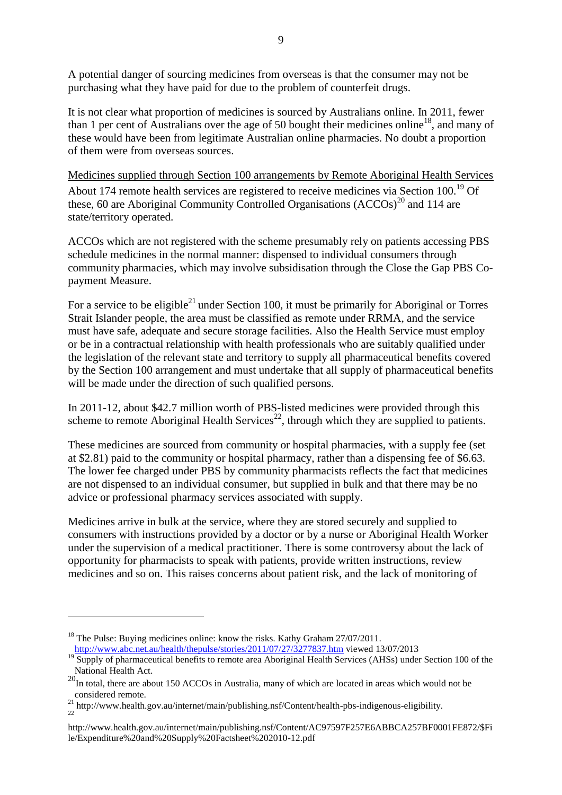A potential danger of sourcing medicines from overseas is that the consumer may not be purchasing what they have paid for due to the problem of counterfeit drugs.

It is not clear what proportion of medicines is sourced by Australians online. In 2011, fewer than 1 per cent of Australians over the age of 50 bought their medicines online<sup>18</sup>, and many of these would have been from legitimate Australian online pharmacies. No doubt a proportion of them were from overseas sources.

Medicines supplied through Section 100 arrangements by Remote Aboriginal Health Services About 174 remote health services are registered to receive medicines via Section  $100^{19}$  Of these, 60 are Aboriginal Community Controlled Organisations (ACCOs)<sup>20</sup> and 114 are state/territory operated.

ACCOs which are not registered with the scheme presumably rely on patients accessing PBS schedule medicines in the normal manner: dispensed to individual consumers through community pharmacies, which may involve subsidisation through the Close the Gap PBS Copayment Measure.

For a service to be eligible<sup>21</sup> under Section 100, it must be primarily for Aboriginal or Torres Strait Islander people, the area must be classified as remote under RRMA, and the service must have safe, adequate and secure storage facilities. Also the Health Service must employ or be in a contractual relationship with health professionals who are suitably qualified under the legislation of the relevant state and territory to supply all pharmaceutical benefits covered by the Section 100 arrangement and must undertake that all supply of pharmaceutical benefits will be made under the direction of such qualified persons.

In 2011-12, about \$42.7 million worth of PBS-listed medicines were provided through this scheme to remote Aboriginal Health Services<sup>22</sup>, through which they are supplied to patients.

These medicines are sourced from community or hospital pharmacies, with a supply fee (set at \$2.81) paid to the community or hospital pharmacy, rather than a dispensing fee of \$6.63. The lower fee charged under PBS by community pharmacists reflects the fact that medicines are not dispensed to an individual consumer, but supplied in bulk and that there may be no advice or professional pharmacy services associated with supply.

Medicines arrive in bulk at the service, where they are stored securely and supplied to consumers with instructions provided by a doctor or by a nurse or Aboriginal Health Worker under the supervision of a medical practitioner. There is some controversy about the lack of opportunity for pharmacists to speak with patients, provide written instructions, review medicines and so on. This raises concerns about patient risk, and the lack of monitoring of

<sup>&</sup>lt;sup>18</sup> The Pulse: Buying medicines online: know the risks. Kathy Graham  $27/07/2011$ . <http://www.abc.net.au/health/thepulse/stories/2011/07/27/3277837.htm> viewed 13/07/2013

<sup>&</sup>lt;sup>19</sup> Supply of pharmaceutical benefits to remote area Aboriginal Health Services (AHSs) under Section 100 of the National Health Act.

 $20<sup>20</sup>$ In total, there are about 150 ACCOs in Australia, many of which are located in areas which would not be considered remote.

<sup>&</sup>lt;sup>21</sup> http://www.health.gov.au/internet/main/publishing.nsf/Content/health-pbs-indigenous-eligibility. 22

http://www.health.gov.au/internet/main/publishing.nsf/Content/AC97597F257E6ABBCA257BF0001FE872/\$Fi le/Expenditure%20and%20Supply%20Factsheet%202010-12.pdf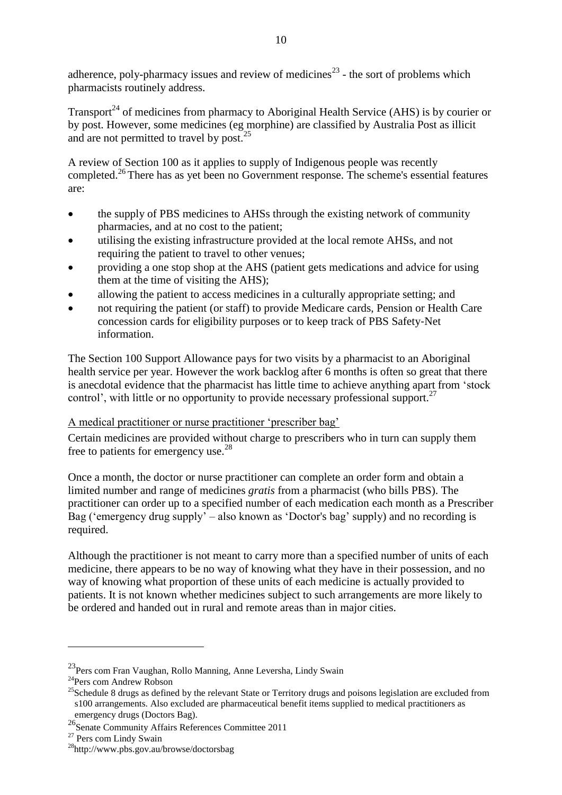adherence, poly-pharmacy issues and review of medicines<sup>23</sup> - the sort of problems which pharmacists routinely address.

Transport<sup>24</sup> of medicines from pharmacy to Aboriginal Health Service (AHS) is by courier or by post. However, some medicines (eg morphine) are classified by Australia Post as illicit and are not permitted to travel by post. $^{25}$ 

A review of Section 100 as it applies to supply of Indigenous people was recently completed. <sup>26</sup> There has as yet been no Government response. The scheme's essential features are:

- the supply of PBS medicines to AHSs through the existing network of community pharmacies, and at no cost to the patient;
- utilising the existing infrastructure provided at the local remote AHSs, and not requiring the patient to travel to other venues;
- providing a one stop shop at the AHS (patient gets medications and advice for using them at the time of visiting the AHS);
- allowing the patient to access medicines in a culturally appropriate setting; and
- not requiring the patient (or staff) to provide Medicare cards, Pension or Health Care concession cards for eligibility purposes or to keep track of PBS Safety‐Net information.

The Section 100 Support Allowance pays for two visits by a pharmacist to an Aboriginal health service per year. However the work backlog after 6 months is often so great that there is anecdotal evidence that the pharmacist has little time to achieve anything apart from 'stock control', with little or no opportunity to provide necessary professional support.<sup>27</sup>

## A medical practitioner or nurse practitioner 'prescriber bag'

Certain medicines are provided without charge to prescribers who in turn can supply them free to patients for emergency use.<sup>28</sup>

Once a month, the doctor or nurse practitioner can complete an order form and obtain a limited number and range of medicines *gratis* from a pharmacist (who bills PBS). The practitioner can order up to a specified number of each medication each month as a Prescriber Bag ('emergency drug supply' – also known as 'Doctor's bag' supply) and no recording is required.

Although the practitioner is not meant to carry more than a specified number of units of each medicine, there appears to be no way of knowing what they have in their possession, and no way of knowing what proportion of these units of each medicine is actually provided to patients. It is not known whether medicines subject to such arrangements are more likely to be ordered and handed out in rural and remote areas than in major cities.

<sup>&</sup>lt;sup>23</sup> Pers com Fran Vaughan, Rollo Manning, Anne Leversha, Lindy Swain

<sup>24</sup>Pers com Andrew Robson

<sup>&</sup>lt;sup>25</sup>Schedule 8 drugs as defined by the relevant State or Territory drugs and poisons legislation are excluded from s100 arrangements. Also excluded are pharmaceutical benefit items supplied to medical practitioners as emergency drugs (Doctors Bag).

<sup>26&</sup>lt;br>Senate Community Affairs References Committee 2011

<sup>&</sup>lt;sup>27</sup> Pers com Lindy Swain

<sup>28</sup>http://www.pbs.gov.au/browse/doctorsbag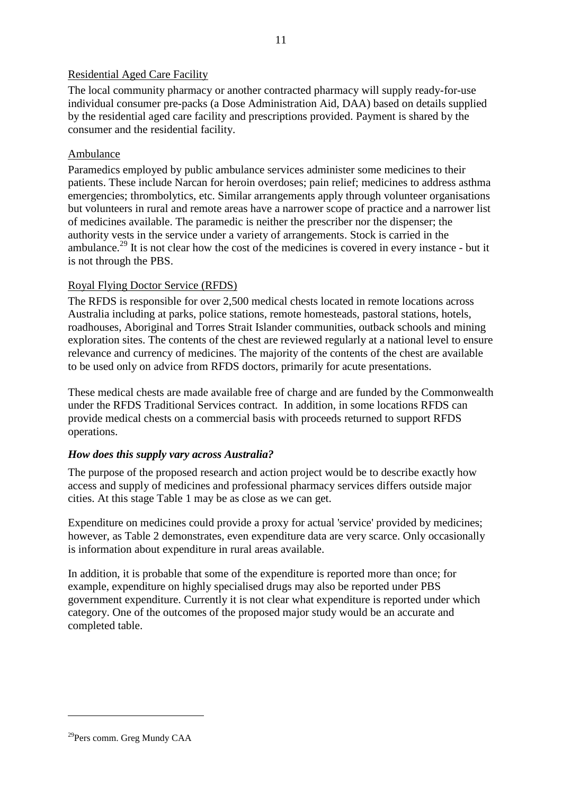#### Residential Aged Care Facility

The local community pharmacy or another contracted pharmacy will supply ready-for-use individual consumer pre-packs (a Dose Administration Aid, DAA) based on details supplied by the residential aged care facility and prescriptions provided. Payment is shared by the consumer and the residential facility.

#### Ambulance

Paramedics employed by public ambulance services administer some medicines to their patients. These include Narcan for heroin overdoses; pain relief; medicines to address asthma emergencies; thrombolytics, etc. Similar arrangements apply through volunteer organisations but volunteers in rural and remote areas have a narrower scope of practice and a narrower list of medicines available. The paramedic is neither the prescriber nor the dispenser; the authority vests in the service under a variety of arrangements. Stock is carried in the ambulance.<sup>29</sup> It is not clear how the cost of the medicines is covered in every instance - but it is not through the PBS.

## Royal Flying Doctor Service (RFDS)

The RFDS is responsible for over 2,500 medical chests located in remote locations across Australia including at parks, police stations, remote homesteads, pastoral stations, hotels, roadhouses, Aboriginal and Torres Strait Islander communities, outback schools and mining exploration sites. The contents of the chest are reviewed regularly at a national level to ensure relevance and currency of medicines. The majority of the contents of the chest are available to be used only on advice from RFDS doctors, primarily for acute presentations.

These medical chests are made available free of charge and are funded by the Commonwealth under the RFDS Traditional Services contract. In addition, in some locations RFDS can provide medical chests on a commercial basis with proceeds returned to support RFDS operations.

## *How does this supply vary across Australia?*

The purpose of the proposed research and action project would be to describe exactly how access and supply of medicines and professional pharmacy services differs outside major cities. At this stage Table 1 may be as close as we can get.

Expenditure on medicines could provide a proxy for actual 'service' provided by medicines; however, as Table 2 demonstrates, even expenditure data are very scarce. Only occasionally is information about expenditure in rural areas available.

In addition, it is probable that some of the expenditure is reported more than once; for example, expenditure on highly specialised drugs may also be reported under PBS government expenditure. Currently it is not clear what expenditure is reported under which category. One of the outcomes of the proposed major study would be an accurate and completed table.

<sup>29</sup>Pers comm. Greg Mundy CAA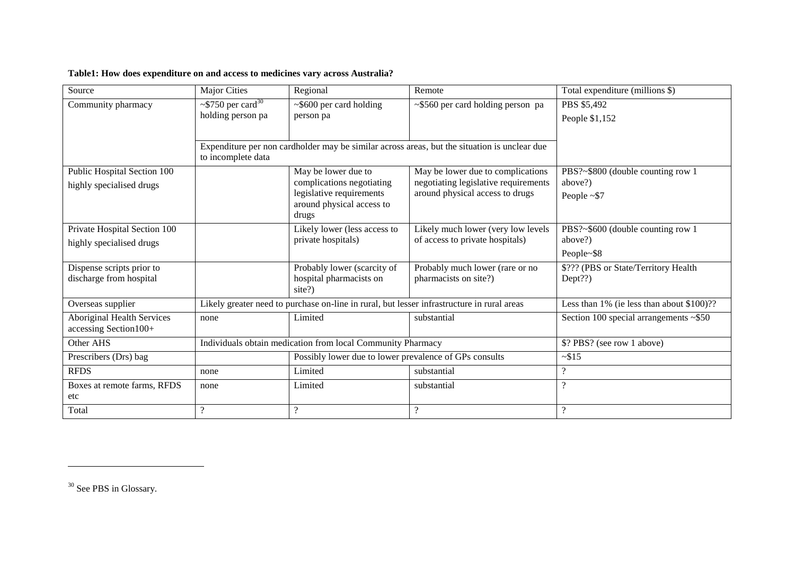#### **Table1: How does expenditure on and access to medicines vary across Australia?**

| Source                                                     | <b>Major Cities</b>                                      | Regional                                                                                   | Remote                                                                                       | Total expenditure (millions \$)                 |
|------------------------------------------------------------|----------------------------------------------------------|--------------------------------------------------------------------------------------------|----------------------------------------------------------------------------------------------|-------------------------------------------------|
| Community pharmacy                                         | $\sim$ \$750 per card <sup>30</sup><br>holding person pa | $\sim$ \$600 per card holding<br>person pa                                                 | ~\$560 per card holding person pa                                                            | PBS \$5,492<br>People \$1,152                   |
|                                                            |                                                          |                                                                                            |                                                                                              |                                                 |
|                                                            | to incomplete data                                       |                                                                                            | Expenditure per non cardholder may be similar across areas, but the situation is unclear due |                                                 |
| Public Hospital Section 100                                |                                                          | May be lower due to                                                                        | May be lower due to complications                                                            | PBS?~\$800 (double counting row 1               |
| highly specialised drugs                                   |                                                          | complications negotiating<br>legislative requirements                                      | negotiating legislative requirements<br>around physical access to drugs                      | above?)<br>People $~57$                         |
|                                                            |                                                          | around physical access to<br>drugs                                                         |                                                                                              |                                                 |
| Private Hospital Section 100                               |                                                          | Likely lower (less access to                                                               | Likely much lower (very low levels                                                           | PBS?~\$600 (double counting row 1               |
| highly specialised drugs                                   |                                                          | private hospitals)                                                                         | of access to private hospitals)                                                              | above?)                                         |
|                                                            |                                                          |                                                                                            |                                                                                              | People~\$8                                      |
| Dispense scripts prior to<br>discharge from hospital       |                                                          | Probably lower (scarcity of<br>hospital pharmacists on                                     | Probably much lower (rare or no<br>pharmacists on site?)                                     | \$??? (PBS or State/Territory Health<br>Dept??) |
|                                                            |                                                          | site?)                                                                                     |                                                                                              |                                                 |
| Overseas supplier                                          |                                                          | Likely greater need to purchase on-line in rural, but lesser infrastructure in rural areas |                                                                                              | Less than 1% (ie less than about \$100)??       |
| <b>Aboriginal Health Services</b><br>accessing Section100+ | none                                                     | Limited                                                                                    | substantial                                                                                  | Section 100 special arrangements $\sim$ \$50    |
| Other AHS                                                  |                                                          | Individuals obtain medication from local Community Pharmacy                                |                                                                                              | \$? PBS? (see row 1 above)                      |
| Prescribers (Drs) bag                                      |                                                          | Possibly lower due to lower prevalence of GPs consults                                     |                                                                                              | $-$ \$15                                        |
| <b>RFDS</b>                                                | none                                                     | Limited                                                                                    | substantial                                                                                  | $\overline{\mathcal{L}}$                        |
| Boxes at remote farms, RFDS<br>etc                         | none                                                     | Limited                                                                                    | substantial                                                                                  | $\overline{\mathcal{L}}$                        |
| Total                                                      | $\overline{\mathcal{L}}$                                 | $\overline{?}$                                                                             | $\gamma$                                                                                     | $\boldsymbol{\mathcal{P}}$                      |

<sup>30</sup> See PBS in Glossary.

 $\overline{a}$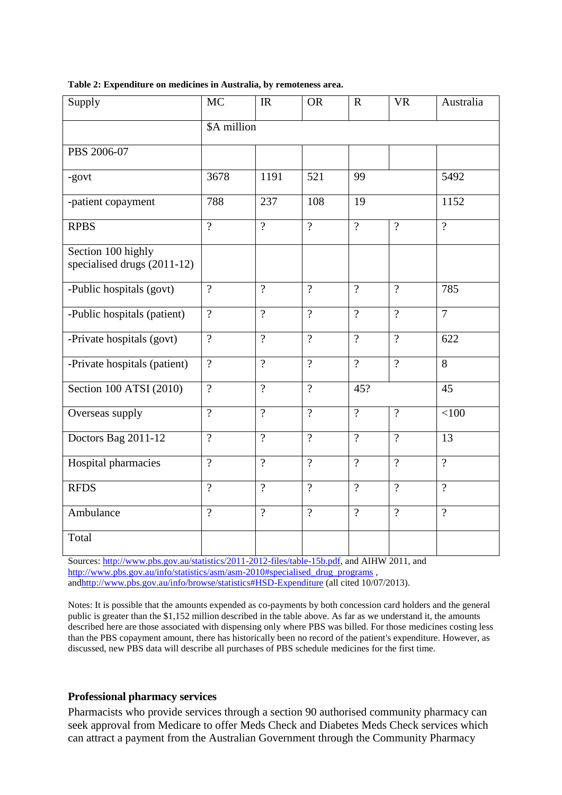| Supply                                            | <b>MC</b>           | IR                       | <b>OR</b>      | $\mathbf R$    | <b>VR</b>      | Australia           |
|---------------------------------------------------|---------------------|--------------------------|----------------|----------------|----------------|---------------------|
|                                                   | \$A million         |                          |                |                |                |                     |
| PBS 2006-07                                       |                     |                          |                |                |                |                     |
| -govt                                             | 3678                | 1191                     | 521            | 99             |                | 5492                |
| -patient copayment                                | 788                 | 237                      | 108            | 19             |                | 1152                |
| <b>RPBS</b>                                       | $\overline{\gamma}$ | $\overline{?}$           | $\overline{?}$ | $\overline{?}$ | $\overline{?}$ | $\overline{\gamma}$ |
| Section 100 highly<br>specialised drugs (2011-12) |                     |                          |                |                |                |                     |
| -Public hospitals (govt)                          | $\overline{?}$      | $\overline{\mathcal{L}}$ | $\overline{?}$ | $\overline{?}$ | $\overline{?}$ | 785                 |
| -Public hospitals (patient)                       | $\overline{?}$      | $\overline{?}$           | $\overline{?}$ | $\overline{?}$ | $\overline{?}$ | $\overline{7}$      |
| -Private hospitals (govt)                         | $\overline{?}$      | $\overline{\mathcal{L}}$ | $\overline{?}$ | $\overline{?}$ | $\overline{?}$ | 622                 |
| -Private hospitals (patient)                      | $\overline{?}$      | $\overline{?}$           | $\overline{?}$ | $\overline{?}$ | $\gamma$       | 8                   |
| Section 100 ATSI (2010)                           | $\overline{?}$      | $\overline{?}$           | $\overline{?}$ | 45?            |                | 45                  |
| Overseas supply                                   | $\gamma$            | $\overline{?}$           | $\overline{?}$ | $\overline{?}$ | $\overline{?}$ | < 100               |
| Doctors Bag 2011-12                               | $\gamma$            | $\overline{?}$           | $\overline{?}$ | $\overline{?}$ | $\gamma$       | $\overline{13}$     |
| Hospital pharmacies                               | $\gamma$            | $\gamma$                 | $\gamma$       | $\gamma$       | $\gamma$       | $\overline{2}$      |
| <b>RFDS</b>                                       | $\overline{2}$      | $\gamma$                 | $\gamma$       | $\gamma$       | $\gamma$       | $\gamma$            |
| Ambulance                                         | $\gamma$            | $\overline{?}$           | $\overline{?}$ | $\overline{?}$ | $\gamma$       | $\gamma$            |
| Total                                             |                     |                          |                |                |                |                     |

**Table 2: Expenditure on medicines in Australia, by remoteness area.**

Sources: [http://www.pbs.gov.au/statistics/2011-2012-files/table-15b.pdf,](http://www.pbs.gov.au/statistics/2011-2012-files/table-15b.pdf) and AIHW 2011, and [http://www.pbs.gov.au/info/statistics/asm/asm-2010#specialised\\_drug\\_programs](http://www.pbs.gov.au/info/statistics/asm/asm-2010#specialised_drug_programs), an[dhttp://www.pbs.gov.au/info/browse/statistics#HSD-Expenditure](http://www.pbs.gov.au/info/browse/statistics#HSD-Expenditure) (all cited 10/07/2013).

Notes: It is possible that the amounts expended as co-payments by both concession card holders and the general public is greater than the \$1,152 million described in the table above. As far as we understand it, the amounts described here are those associated with dispensing only where PBS was billed. For those medicines costing less than the PBS copayment amount, there has historically been no record of the patient's expenditure. However, as discussed, new PBS data will describe all purchases of PBS schedule medicines for the first time.

#### **Professional pharmacy services**

Pharmacists who provide services through a section 90 authorised community pharmacy can seek approval from Medicare to offer Meds Check and Diabetes Meds Check services which can attract a payment from the Australian Government through the Community Pharmacy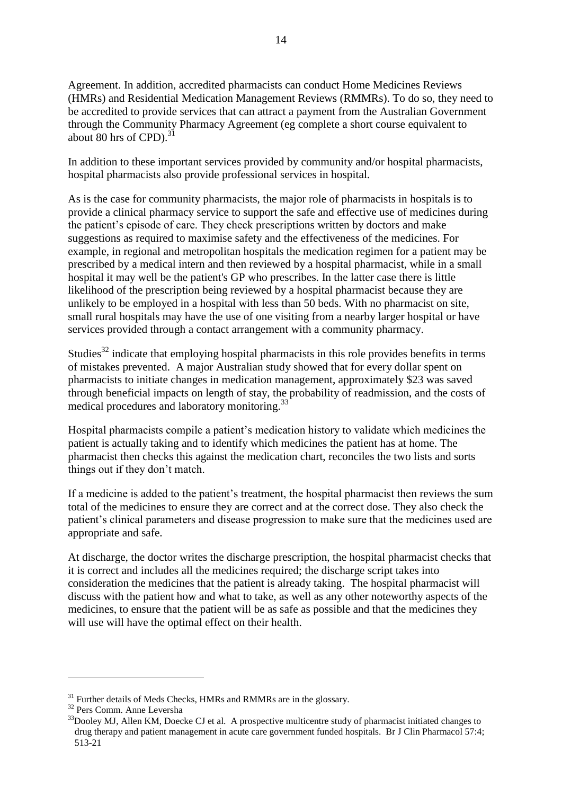Agreement. In addition, accredited pharmacists can conduct Home Medicines Reviews (HMRs) and Residential Medication Management Reviews (RMMRs). To do so, they need to be accredited to provide services that can attract a payment from the Australian Government through the Community Pharmacy Agreement (eg complete a short course equivalent to about 80 hrs of  $CPD$ .<sup>31</sup>

In addition to these important services provided by community and/or hospital pharmacists, hospital pharmacists also provide professional services in hospital.

As is the case for community pharmacists, the major role of pharmacists in hospitals is to provide a clinical pharmacy service to support the safe and effective use of medicines during the patient's episode of care. They check prescriptions written by doctors and make suggestions as required to maximise safety and the effectiveness of the medicines. For example, in regional and metropolitan hospitals the medication regimen for a patient may be prescribed by a medical intern and then reviewed by a hospital pharmacist, while in a small hospital it may well be the patient's GP who prescribes. In the latter case there is little likelihood of the prescription being reviewed by a hospital pharmacist because they are unlikely to be employed in a hospital with less than 50 beds. With no pharmacist on site, small rural hospitals may have the use of one visiting from a nearby larger hospital or have services provided through a contact arrangement with a community pharmacy.

Studies<sup>32</sup> indicate that employing hospital pharmacists in this role provides benefits in terms of mistakes prevented. A major Australian study showed that for every dollar spent on pharmacists to initiate changes in medication management, approximately \$23 was saved through beneficial impacts on length of stay, the probability of readmission, and the costs of medical procedures and laboratory monitoring.<sup>33</sup>

Hospital pharmacists compile a patient's medication history to validate which medicines the patient is actually taking and to identify which medicines the patient has at home. The pharmacist then checks this against the medication chart, reconciles the two lists and sorts things out if they don't match.

If a medicine is added to the patient's treatment, the hospital pharmacist then reviews the sum total of the medicines to ensure they are correct and at the correct dose. They also check the patient's clinical parameters and disease progression to make sure that the medicines used are appropriate and safe.

At discharge, the doctor writes the discharge prescription, the hospital pharmacist checks that it is correct and includes all the medicines required; the discharge script takes into consideration the medicines that the patient is already taking. The hospital pharmacist will discuss with the patient how and what to take, as well as any other noteworthy aspects of the medicines, to ensure that the patient will be as safe as possible and that the medicines they will use will have the optimal effect on their health.

 $31$  Further details of Meds Checks, HMRs and RMMRs are in the glossary.

<sup>32</sup> Pers Comm. Anne Leversha

 $33D$ ooley MJ, Allen KM, Doecke CJ et al. A prospective multicentre study of pharmacist initiated changes to drug therapy and patient management in acute care government funded hospitals. Br J Clin Pharmacol 57:4; 513-21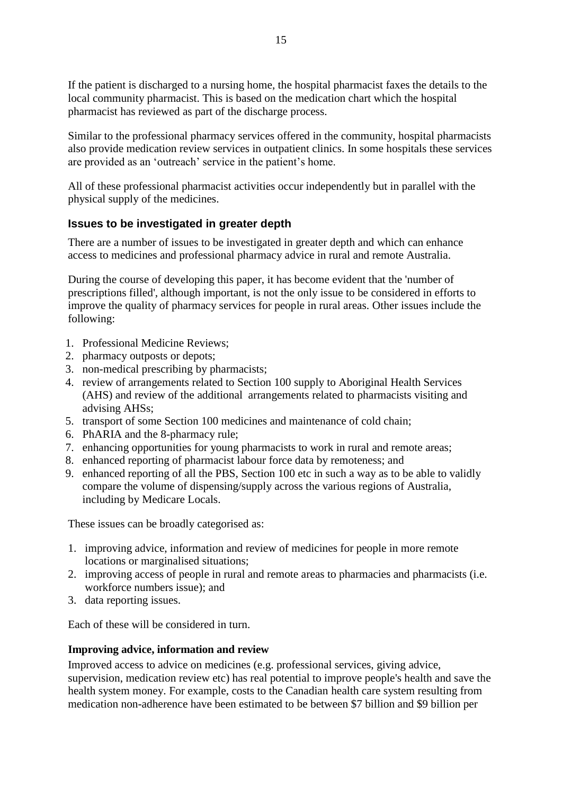If the patient is discharged to a nursing home, the hospital pharmacist faxes the details to the local community pharmacist. This is based on the medication chart which the hospital pharmacist has reviewed as part of the discharge process.

Similar to the professional pharmacy services offered in the community, hospital pharmacists also provide medication review services in outpatient clinics. In some hospitals these services are provided as an 'outreach' service in the patient's home.

All of these professional pharmacist activities occur independently but in parallel with the physical supply of the medicines.

## <span id="page-14-0"></span>**Issues to be investigated in greater depth**

There are a number of issues to be investigated in greater depth and which can enhance access to medicines and professional pharmacy advice in rural and remote Australia.

During the course of developing this paper, it has become evident that the 'number of prescriptions filled', although important, is not the only issue to be considered in efforts to improve the quality of pharmacy services for people in rural areas. Other issues include the following:

- 1. Professional Medicine Reviews;
- 2. pharmacy outposts or depots;
- 3. non-medical prescribing by pharmacists;
- 4. review of arrangements related to Section 100 supply to Aboriginal Health Services (AHS) and review of the additional arrangements related to pharmacists visiting and advising AHSs;
- 5. transport of some Section 100 medicines and maintenance of cold chain;
- 6. PhARIA and the 8-pharmacy rule;
- 7. enhancing opportunities for young pharmacists to work in rural and remote areas;
- 8. enhanced reporting of pharmacist labour force data by remoteness; and
- 9. enhanced reporting of all the PBS, Section 100 etc in such a way as to be able to validly compare the volume of dispensing/supply across the various regions of Australia, including by Medicare Locals.

These issues can be broadly categorised as:

- 1. improving advice, information and review of medicines for people in more remote locations or marginalised situations;
- 2. improving access of people in rural and remote areas to pharmacies and pharmacists (i.e. workforce numbers issue); and
- 3. data reporting issues.

Each of these will be considered in turn.

#### **Improving advice, information and review**

Improved access to advice on medicines (e.g. professional services, giving advice, supervision, medication review etc) has real potential to improve people's health and save the health system money. For example, costs to the Canadian health care system resulting from medication non-adherence have been estimated to be between \$7 billion and \$9 billion per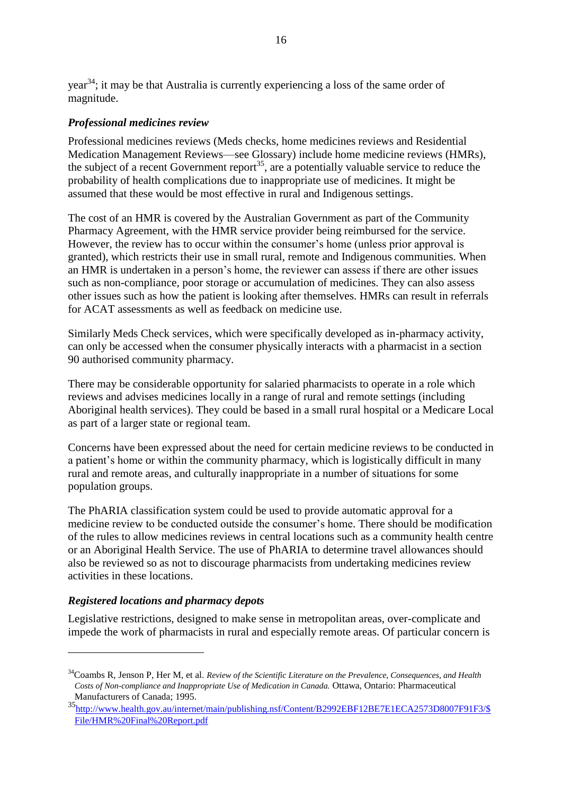## *Professional medicines review*

Professional medicines reviews (Meds checks, home medicines reviews and Residential Medication Management Reviews—see Glossary) include home medicine reviews (HMRs), the subject of a recent Government report<sup>35</sup>, are a potentially valuable service to reduce the probability of health complications due to inappropriate use of medicines. It might be assumed that these would be most effective in rural and Indigenous settings.

The cost of an HMR is covered by the Australian Government as part of the Community Pharmacy Agreement, with the HMR service provider being reimbursed for the service. However, the review has to occur within the consumer's home (unless prior approval is granted), which restricts their use in small rural, remote and Indigenous communities. When an HMR is undertaken in a person's home, the reviewer can assess if there are other issues such as non-compliance, poor storage or accumulation of medicines. They can also assess other issues such as how the patient is looking after themselves. HMRs can result in referrals for ACAT assessments as well as feedback on medicine use.

Similarly Meds Check services, which were specifically developed as in-pharmacy activity, can only be accessed when the consumer physically interacts with a pharmacist in a section 90 authorised community pharmacy.

There may be considerable opportunity for salaried pharmacists to operate in a role which reviews and advises medicines locally in a range of rural and remote settings (including Aboriginal health services). They could be based in a small rural hospital or a Medicare Local as part of a larger state or regional team.

Concerns have been expressed about the need for certain medicine reviews to be conducted in a patient's home or within the community pharmacy, which is logistically difficult in many rural and remote areas, and culturally inappropriate in a number of situations for some population groups.

The PhARIA classification system could be used to provide automatic approval for a medicine review to be conducted outside the consumer's home. There should be modification of the rules to allow medicines reviews in central locations such as a community health centre or an Aboriginal Health Service. The use of PhARIA to determine travel allowances should also be reviewed so as not to discourage pharmacists from undertaking medicines review activities in these locations.

# *Registered locations and pharmacy depots*

1

Legislative restrictions, designed to make sense in metropolitan areas, over-complicate and impede the work of pharmacists in rural and especially remote areas. Of particular concern is

<sup>34</sup>Coambs R, Jenson P, Her M, et al. *Review of the Scientific Literature on the Prevalence, Consequences, and Health Costs of Non-compliance and Inappropriate Use of Medication in Canada.* Ottawa, Ontario: Pharmaceutical Manufacturers of Canada; 1995.

<sup>35&</sup>lt;br>[http://www.health.gov.au/internet/main/publishing.nsf/Content/B2992EBF12BE7E1ECA2573D8007F91F3/\\$](http://www.health.gov.au/internet/main/publishing.nsf/Content/B2992EBF12BE7E1ECA2573D8007F91F3/$File/HMR%20Final%20Report.pdf) [File/HMR%20Final%20Report.pdf](http://www.health.gov.au/internet/main/publishing.nsf/Content/B2992EBF12BE7E1ECA2573D8007F91F3/$File/HMR%20Final%20Report.pdf)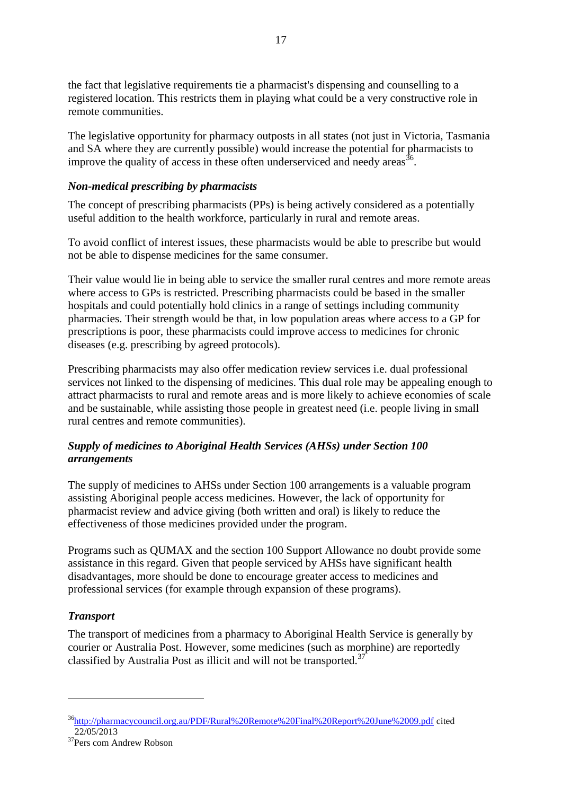the fact that legislative requirements tie a pharmacist's dispensing and counselling to a registered location. This restricts them in playing what could be a very constructive role in remote communities.

The legislative opportunity for pharmacy outposts in all states (not just in Victoria, Tasmania and SA where they are currently possible) would increase the potential for pharmacists to improve the quality of access in these often underserviced and needy areas<sup>36</sup>.

#### *Non-medical prescribing by pharmacists*

The concept of prescribing pharmacists (PPs) is being actively considered as a potentially useful addition to the health workforce, particularly in rural and remote areas.

To avoid conflict of interest issues, these pharmacists would be able to prescribe but would not be able to dispense medicines for the same consumer.

Their value would lie in being able to service the smaller rural centres and more remote areas where access to GPs is restricted. Prescribing pharmacists could be based in the smaller hospitals and could potentially hold clinics in a range of settings including community pharmacies. Their strength would be that, in low population areas where access to a GP for prescriptions is poor, these pharmacists could improve access to medicines for chronic diseases (e.g. prescribing by agreed protocols).

Prescribing pharmacists may also offer medication review services i.e. dual professional services not linked to the dispensing of medicines. This dual role may be appealing enough to attract pharmacists to rural and remote areas and is more likely to achieve economies of scale and be sustainable, while assisting those people in greatest need (i.e. people living in small rural centres and remote communities).

#### *Supply of medicines to Aboriginal Health Services (AHSs) under Section 100 arrangements*

The supply of medicines to AHSs under Section 100 arrangements is a valuable program assisting Aboriginal people access medicines. However, the lack of opportunity for pharmacist review and advice giving (both written and oral) is likely to reduce the effectiveness of those medicines provided under the program.

Programs such as QUMAX and the section 100 Support Allowance no doubt provide some assistance in this regard. Given that people serviced by AHSs have significant health disadvantages, more should be done to encourage greater access to medicines and professional services (for example through expansion of these programs).

## *Transport*

<u>.</u>

The transport of medicines from a pharmacy to Aboriginal Health Service is generally by courier or Australia Post. However, some medicines (such as morphine) are reportedly classified by Australia Post as illicit and will not be transported.<sup>37</sup>

<sup>36</sup><http://pharmacycouncil.org.au/PDF/Rural%20Remote%20Final%20Report%20June%2009.pdf> cited  $22/05/2013$ 

<sup>&</sup>lt;sup>37</sup>Pers com Andrew Robson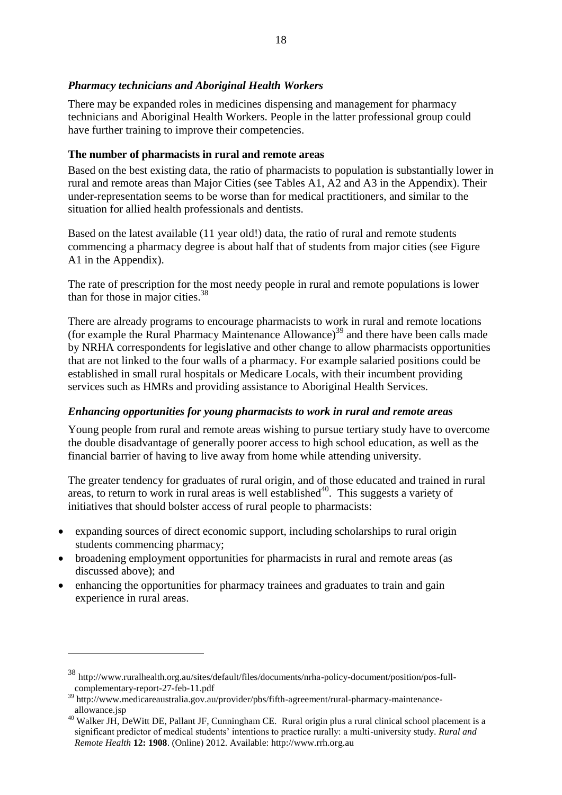#### *Pharmacy technicians and Aboriginal Health Workers*

There may be expanded roles in medicines dispensing and management for pharmacy technicians and Aboriginal Health Workers. People in the latter professional group could have further training to improve their competencies.

#### **The number of pharmacists in rural and remote areas**

Based on the best existing data, the ratio of pharmacists to population is substantially lower in rural and remote areas than Major Cities (see Tables A1, A2 and A3 in the Appendix). Their under-representation seems to be worse than for medical practitioners, and similar to the situation for allied health professionals and dentists.

Based on the latest available (11 year old!) data, the ratio of rural and remote students commencing a pharmacy degree is about half that of students from major cities (see Figure A1 in the Appendix).

The rate of prescription for the most needy people in rural and remote populations is lower than for those in major cities. 38

There are already programs to encourage pharmacists to work in rural and remote locations (for example the Rural Pharmacy Maintenance Allowance) <sup>39</sup> and there have been calls made by NRHA correspondents for legislative and other change to allow pharmacists opportunities that are not linked to the four walls of a pharmacy. For example salaried positions could be established in small rural hospitals or Medicare Locals, with their incumbent providing services such as HMRs and providing assistance to Aboriginal Health Services.

## *Enhancing opportunities for young pharmacists to work in rural and remote areas*

Young people from rural and remote areas wishing to pursue tertiary study have to overcome the double disadvantage of generally poorer access to high school education, as well as the financial barrier of having to live away from home while attending university.

The greater tendency for graduates of rural origin, and of those educated and trained in rural areas, to return to work in rural areas is well established $40$ . This suggests a variety of initiatives that should bolster access of rural people to pharmacists:

- expanding sources of direct economic support, including scholarships to rural origin students commencing pharmacy;
- broadening employment opportunities for pharmacists in rural and remote areas (as discussed above); and
- enhancing the opportunities for pharmacy trainees and graduates to train and gain experience in rural areas.

<sup>38</sup> [http://www.ruralhealth.org.au/sites/default/files/documents/nrha-policy-document/position/pos-full](http://www.ruralhealth.org.au/sites/default/files/documents/nrha-policy-document/position/pos-full-complementary-report-27-feb-11.pdf)[complementary-report-27-feb-11.pdf](http://www.ruralhealth.org.au/sites/default/files/documents/nrha-policy-document/position/pos-full-complementary-report-27-feb-11.pdf)

 $39$  http://www.medicareaustralia.gov.au/provider/pbs/fifth-agreement/rural-pharmacy-maintenanceallowance.jsp

<sup>40</sup> Walker JH, DeWitt DE, Pallant JF, Cunningham CE. Rural origin plus a rural clinical school placement is a significant predictor of medical students' intentions to practice rurally: a multi-university study. *Rural and Remote Health* **12: 1908**. (Online) 2012. Available: http://www.rrh.org.au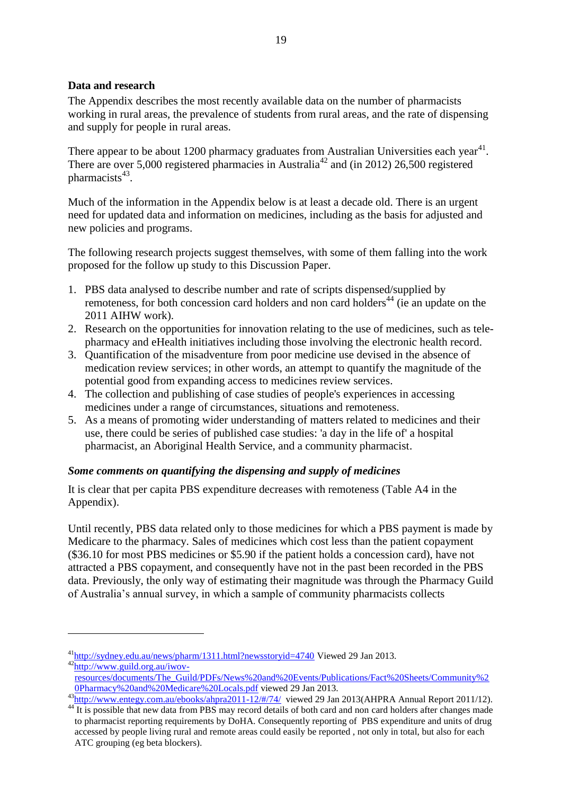## **Data and research**

<u>.</u>

The Appendix describes the most recently available data on the number of pharmacists working in rural areas, the prevalence of students from rural areas, and the rate of dispensing and supply for people in rural areas.

There appear to be about 1200 pharmacy graduates from Australian Universities each year<sup>41</sup>. There are over 5,000 registered pharmacies in Australia<sup>42</sup> and (in 2012) 26,500 registered pharmacists<sup>43</sup>.

Much of the information in the Appendix below is at least a decade old. There is an urgent need for updated data and information on medicines, including as the basis for adjusted and new policies and programs.

The following research projects suggest themselves, with some of them falling into the work proposed for the follow up study to this Discussion Paper.

- 1. PBS data analysed to describe number and rate of scripts dispensed/supplied by remoteness, for both concession card holders and non card holders<sup>44</sup> (ie an update on the 2011 AIHW work).
- 2. Research on the opportunities for innovation relating to the use of medicines, such as telepharmacy and eHealth initiatives including those involving the electronic health record.
- 3. Quantification of the misadventure from poor medicine use devised in the absence of medication review services; in other words, an attempt to quantify the magnitude of the potential good from expanding access to medicines review services.
- 4. The collection and publishing of case studies of people's experiences in accessing medicines under a range of circumstances, situations and remoteness.
- 5. As a means of promoting wider understanding of matters related to medicines and their use, there could be series of published case studies: 'a day in the life of' a hospital pharmacist, an Aboriginal Health Service, and a community pharmacist.

## *Some comments on quantifying the dispensing and supply of medicines*

It is clear that per capita PBS expenditure decreases with remoteness (Table A4 in the Appendix).

Until recently, PBS data related only to those medicines for which a PBS payment is made by Medicare to the pharmacy. Sales of medicines which cost less than the patient copayment (\$36.10 for most PBS medicines or \$5.90 if the patient holds a concession card), have not attracted a PBS copayment, and consequently have not in the past been recorded in the PBS data. Previously, the only way of estimating their magnitude was through the Pharmacy Guild of Australia's annual survey, in which a sample of community pharmacists collects

<sup>41</sup><http://sydney.edu.au/news/pharm/1311.html?newsstoryid=4740> Viewed 29 Jan 2013. <sup>42</sup>[http://www.guild.org.au/iwov-](http://www.guild.org.au/iwov-resources/documents/The_Guild/PDFs/News%20and%20Events/Publications/Fact%20Sheets/Community%20Pharmacy%20and%20Medicare%20Locals.pdf)

[resources/documents/The\\_Guild/PDFs/News%20and%20Events/Publications/Fact%20Sheets/Community%2](http://www.guild.org.au/iwov-resources/documents/The_Guild/PDFs/News%20and%20Events/Publications/Fact%20Sheets/Community%20Pharmacy%20and%20Medicare%20Locals.pdf) [0Pharmacy%20and%20Medicare%20Locals.pdf](http://www.guild.org.au/iwov-resources/documents/The_Guild/PDFs/News%20and%20Events/Publications/Fact%20Sheets/Community%20Pharmacy%20and%20Medicare%20Locals.pdf) viewed 29 Jan 2013.

 $43$ <http://www.entegy.com.au/ebooks/ahpra2011-12/#/74/>viewed 29 Jan 2013(AHPRA Annual Report 2011/12).

<sup>&</sup>lt;sup>44</sup> It is possible that new data from PBS may record details of both card and non card holders after changes made to pharmacist reporting requirements by DoHA. Consequently reporting of PBS expenditure and units of drug accessed by people living rural and remote areas could easily be reported , not only in total, but also for each ATC grouping (eg beta blockers).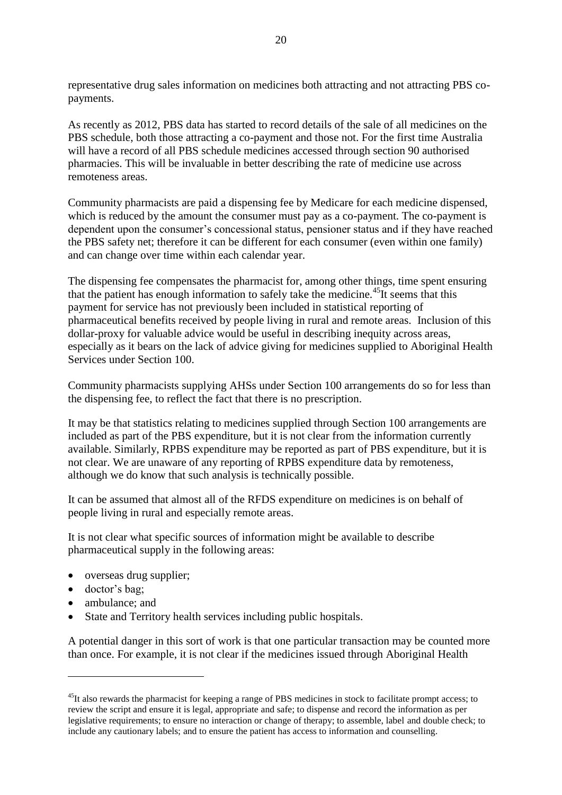representative drug sales information on medicines both attracting and not attracting PBS copayments.

As recently as 2012, PBS data has started to record details of the sale of all medicines on the PBS schedule, both those attracting a co-payment and those not. For the first time Australia will have a record of all PBS schedule medicines accessed through section 90 authorised pharmacies. This will be invaluable in better describing the rate of medicine use across remoteness areas.

Community pharmacists are paid a dispensing fee by Medicare for each medicine dispensed, which is reduced by the amount the consumer must pay as a co-payment. The co-payment is dependent upon the consumer's concessional status, pensioner status and if they have reached the PBS safety net; therefore it can be different for each consumer (even within one family) and can change over time within each calendar year.

The dispensing fee compensates the pharmacist for, among other things, time spent ensuring that the patient has enough information to safely take the medicine.<sup>45</sup>It seems that this payment for service has not previously been included in statistical reporting of pharmaceutical benefits received by people living in rural and remote areas. Inclusion of this dollar-proxy for valuable advice would be useful in describing inequity across areas, especially as it bears on the lack of advice giving for medicines supplied to Aboriginal Health Services under Section 100.

Community pharmacists supplying AHSs under Section 100 arrangements do so for less than the dispensing fee, to reflect the fact that there is no prescription.

It may be that statistics relating to medicines supplied through Section 100 arrangements are included as part of the PBS expenditure, but it is not clear from the information currently available. Similarly, RPBS expenditure may be reported as part of PBS expenditure, but it is not clear. We are unaware of any reporting of RPBS expenditure data by remoteness, although we do know that such analysis is technically possible.

It can be assumed that almost all of the RFDS expenditure on medicines is on behalf of people living in rural and especially remote areas.

It is not clear what specific sources of information might be available to describe pharmaceutical supply in the following areas:

- overseas drug supplier;
- doctor's bag;

1

- ambulance; and
- State and Territory health services including public hospitals.

A potential danger in this sort of work is that one particular transaction may be counted more than once. For example, it is not clear if the medicines issued through Aboriginal Health

<sup>&</sup>lt;sup>45</sup>It also rewards the pharmacist for keeping a range of PBS medicines in stock to facilitate prompt access; to review the script and ensure it is legal, appropriate and safe; to dispense and record the information as per legislative requirements; to ensure no interaction or change of therapy; to assemble, label and double check; to include any cautionary labels; and to ensure the patient has access to information and counselling.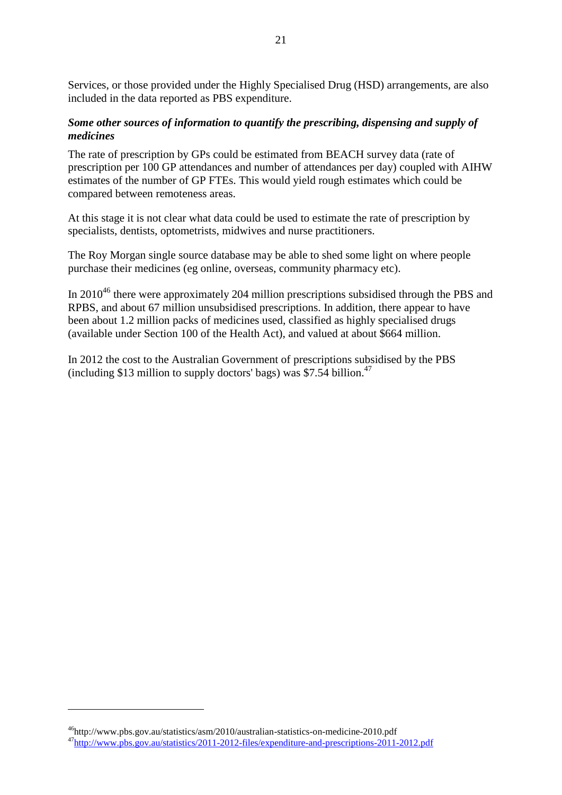Services, or those provided under the Highly Specialised Drug (HSD) arrangements, are also included in the data reported as PBS expenditure.

#### *Some other sources of information to quantify the prescribing, dispensing and supply of medicines*

The rate of prescription by GPs could be estimated from BEACH survey data (rate of prescription per 100 GP attendances and number of attendances per day) coupled with AIHW estimates of the number of GP FTEs. This would yield rough estimates which could be compared between remoteness areas.

At this stage it is not clear what data could be used to estimate the rate of prescription by specialists, dentists, optometrists, midwives and nurse practitioners.

The Roy Morgan single source database may be able to shed some light on where people purchase their medicines (eg online, overseas, community pharmacy etc).

In  $2010^{46}$  there were approximately 204 million prescriptions subsidised through the PBS and RPBS, and about 67 million unsubsidised prescriptions. In addition, there appear to have been about 1.2 million packs of medicines used, classified as highly specialised drugs (available under Section 100 of the Health Act), and valued at about \$664 million.

In 2012 the cost to the Australian Government of prescriptions subsidised by the PBS (including \$13 million to supply doctors' bags) was \$7.54 billion. 47

<sup>46</sup>http://www.pbs.gov.au/statistics/asm/2010/australian-statistics-on-medicine-2010.pdf <sup>47</sup><http://www.pbs.gov.au/statistics/2011-2012-files/expenditure-and-prescriptions-2011-2012.pdf>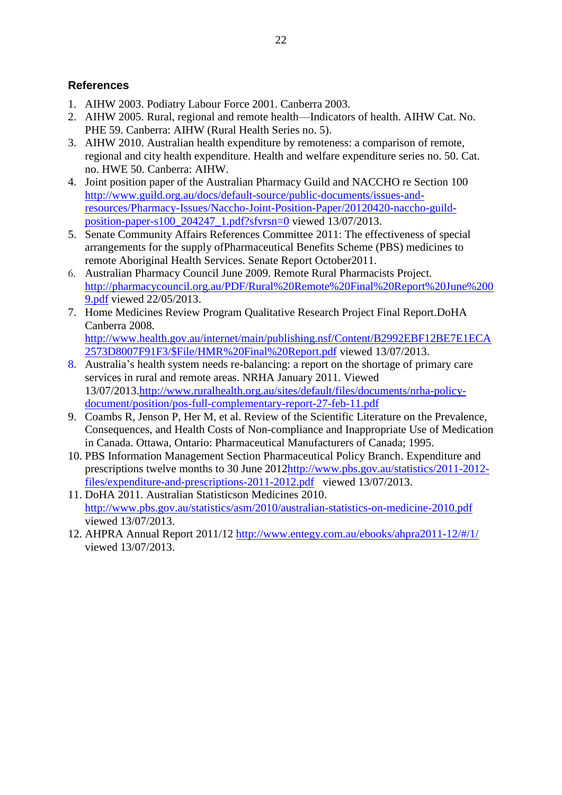# <span id="page-21-0"></span>**References**

- 1. AIHW 2003. Podiatry Labour Force 2001. Canberra 2003.
- 2. AIHW 2005. Rural, regional and remote health—Indicators of health. AIHW Cat. No. PHE 59. Canberra: AIHW (Rural Health Series no. 5).
- 3. AIHW 2010. Australian health expenditure by remoteness: a comparison of remote, regional and city health expenditure. Health and welfare expenditure series no. 50. Cat. no. HWE 50. Canberra: AIHW.
- 4. Joint position paper of the Australian Pharmacy Guild and NACCHO re Section 100 [http://www.guild.org.au/docs/default-source/public-documents/issues-and](http://www.guild.org.au/docs/default-source/public-documents/issues-and-resources/Pharmacy-Issues/Naccho-Joint-Position-Paper/20120420-naccho-guild-position-paper-s100_204247_1.pdf?sfvrsn=0)[resources/Pharmacy-Issues/Naccho-Joint-Position-Paper/20120420-naccho-guild](http://www.guild.org.au/docs/default-source/public-documents/issues-and-resources/Pharmacy-Issues/Naccho-Joint-Position-Paper/20120420-naccho-guild-position-paper-s100_204247_1.pdf?sfvrsn=0)[position-paper-s100\\_204247\\_1.pdf?sfvrsn=0](http://www.guild.org.au/docs/default-source/public-documents/issues-and-resources/Pharmacy-Issues/Naccho-Joint-Position-Paper/20120420-naccho-guild-position-paper-s100_204247_1.pdf?sfvrsn=0) viewed 13/07/2013.
- 5. Senate Community Affairs References Committee 2011: The effectiveness of special arrangements for the supply ofPharmaceutical Benefits Scheme (PBS) medicines to remote Aboriginal Health Services. Senate Report October2011.
- 6. Australian Pharmacy Council June 2009. Remote Rural Pharmacists Project. [http://pharmacycouncil.org.au/PDF/Rural%20Remote%20Final%20Report%20June%200](http://pharmacycouncil.org.au/PDF/Rural%20Remote%20Final%20Report%20June%2009.pdf) [9.pdf](http://pharmacycouncil.org.au/PDF/Rural%20Remote%20Final%20Report%20June%2009.pdf) viewed 22/05/2013.
- 7. Home Medicines Review Program Qualitative Research Project Final Report.DoHA Canberra 2008.

[http://www.health.gov.au/internet/main/publishing.nsf/Content/B2992EBF12BE7E1ECA](http://www.health.gov.au/internet/main/publishing.nsf/Content/B2992EBF12BE7E1ECA2573D8007F91F3/$File/HMR%20Final%20Report.pdf) [2573D8007F91F3/\\$File/HMR%20Final%20Report.pdf](http://www.health.gov.au/internet/main/publishing.nsf/Content/B2992EBF12BE7E1ECA2573D8007F91F3/$File/HMR%20Final%20Report.pdf) viewed 13/07/2013.

- 8. Australia's health system needs re-balancing: a report on the shortage of primary care services in rural and remote areas. NRHA January 2011. Viewed 13/07/2013[.http://www.ruralhealth.org.au/sites/default/files/documents/nrha-policy](http://www.ruralhealth.org.au/sites/default/files/documents/nrha-policy-document/position/pos-full-complementary-report-27-feb-11.pdf)[document/position/pos-full-complementary-report-27-feb-11.pdf](http://www.ruralhealth.org.au/sites/default/files/documents/nrha-policy-document/position/pos-full-complementary-report-27-feb-11.pdf)
- 9. Coambs R, Jenson P, Her M, et al. Review of the Scientific Literature on the Prevalence, Consequences, and Health Costs of Non-compliance and Inappropriate Use of Medication in Canada. Ottawa, Ontario: Pharmaceutical Manufacturers of Canada; 1995.
- 10. PBS Information Management Section Pharmaceutical Policy Branch. Expenditure and prescriptions twelve months to 30 June 201[2http://www.pbs.gov.au/statistics/2011-2012](http://www.pbs.gov.au/statistics/2011-2012-files/expenditure-and-prescriptions-2011-2012.pdf%20%20viewed%2013/07/2013) [files/expenditure-and-prescriptions-2011-2012.pdf](http://www.pbs.gov.au/statistics/2011-2012-files/expenditure-and-prescriptions-2011-2012.pdf%20%20viewed%2013/07/2013) viewed 13/07/2013.
- 11. DoHA 2011. Australian Statisticson Medicines 2010. <http://www.pbs.gov.au/statistics/asm/2010/australian-statistics-on-medicine-2010.pdf> viewed 13/07/2013.
- 12. AHPRA Annual Report 2011/12<http://www.entegy.com.au/ebooks/ahpra2011-12/#/1/> viewed 13/07/2013.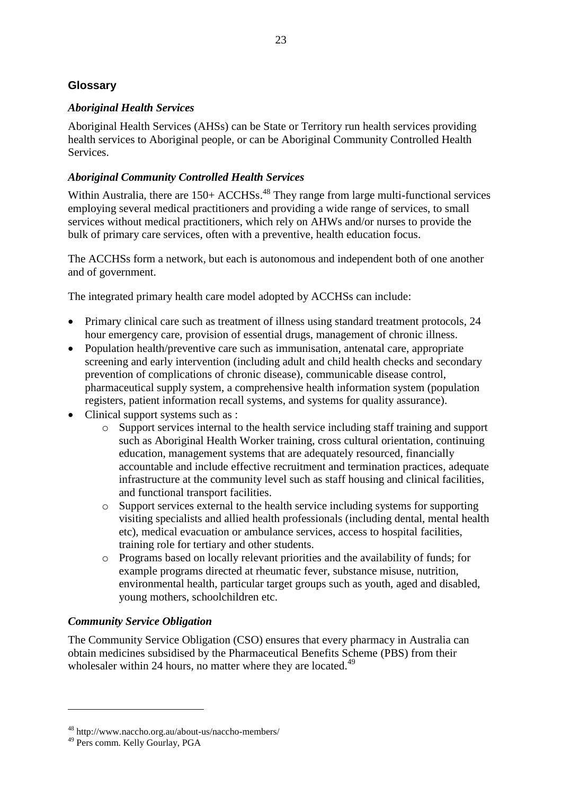# <span id="page-22-0"></span>**Glossary**

# *Aboriginal Health Services*

Aboriginal Health Services (AHSs) can be State or Territory run health services providing health services to Aboriginal people, or can be Aboriginal Community Controlled Health Services.

# *Aboriginal Community Controlled Health Services*

Within Australia, there are 150+ ACCHSs.<sup>48</sup> They range from large multi-functional services employing several medical practitioners and providing a wide range of services, to small services without medical practitioners, which rely on AHWs and/or nurses to provide the bulk of primary care services, often with a preventive, health education focus.

The ACCHSs form a network, but each is autonomous and independent both of one another and of government.

The integrated primary health care model adopted by ACCHSs can include:

- Primary clinical care such as treatment of illness using standard treatment protocols, 24 hour emergency care, provision of essential drugs, management of chronic illness.
- Population health/preventive care such as immunisation, antenatal care, appropriate screening and early intervention (including adult and child health checks and secondary prevention of complications of chronic disease), communicable disease control, pharmaceutical supply system, a comprehensive health information system (population registers, patient information recall systems, and systems for quality assurance).
- Clinical support systems such as :
	- o Support services internal to the health service including staff training and support such as Aboriginal Health Worker training, cross cultural orientation, continuing education, management systems that are adequately resourced, financially accountable and include effective recruitment and termination practices, adequate infrastructure at the community level such as staff housing and clinical facilities, and functional transport facilities.
	- o Support services external to the health service including systems for supporting visiting specialists and allied health professionals (including dental, mental health etc), medical evacuation or ambulance services, access to hospital facilities, training role for tertiary and other students.
	- o Programs based on locally relevant priorities and the availability of funds; for example programs directed at rheumatic fever, substance misuse, nutrition, environmental health, particular target groups such as youth, aged and disabled, young mothers, schoolchildren etc.

## *Community Service Obligation*

The Community Service Obligation (CSO) ensures that every pharmacy in Australia can obtain medicines subsidised by the Pharmaceutical Benefits Scheme (PBS) from their wholesaler within 24 hours, no matter where they are located.<sup>49</sup>

<sup>48</sup> http://www.naccho.org.au/about-us/naccho-members/

<sup>49</sup> Pers comm. Kelly Gourlay, PGA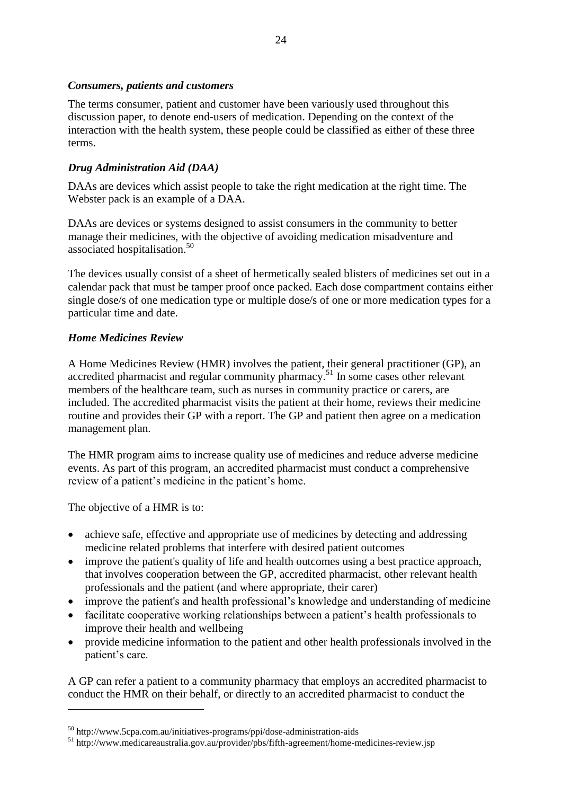#### *Consumers, patients and customers*

The terms consumer, patient and customer have been variously used throughout this discussion paper, to denote end-users of medication. Depending on the context of the interaction with the health system, these people could be classified as either of these three terms.

## *Drug Administration Aid (DAA)*

DAAs are devices which assist people to take the right medication at the right time. The Webster pack is an example of a DAA.

DAAs are devices or systems designed to assist consumers in the community to better manage their medicines, with the objective of avoiding medication misadventure and associated hospitalisation. 50

The devices usually consist of a sheet of hermetically sealed blisters of medicines set out in a calendar pack that must be tamper proof once packed. Each dose compartment contains either single dose/s of one medication type or multiple dose/s of one or more medication types for a particular time and date.

## *Home Medicines Review*

A Home Medicines Review (HMR) involves the patient, their general practitioner (GP), an accredited pharmacist and regular community pharmacy.<sup>51</sup> In some cases other relevant members of the healthcare team, such as nurses in community practice or carers, are included. The accredited pharmacist visits the patient at their home, reviews their medicine routine and provides their GP with a report. The GP and patient then agree on a medication management plan.

The HMR program aims to increase quality use of medicines and reduce adverse medicine events. As part of this program, an accredited pharmacist must conduct a comprehensive review of a patient's medicine in the patient's home.

The objective of a HMR is to:

1

- achieve safe, effective and appropriate use of medicines by detecting and addressing medicine related problems that interfere with desired patient outcomes
- improve the patient's quality of life and health outcomes using a best practice approach, that involves cooperation between the GP, accredited pharmacist, other relevant health professionals and the patient (and where appropriate, their carer)
- improve the patient's and health professional's knowledge and understanding of medicine
- facilitate cooperative working relationships between a patient's health professionals to improve their health and wellbeing
- provide medicine information to the patient and other health professionals involved in the patient's care.

A GP can refer a patient to a community pharmacy that employs an accredited pharmacist to conduct the HMR on their behalf, or directly to an accredited pharmacist to conduct the

<sup>50</sup> http://www.5cpa.com.au/initiatives-programs/ppi/dose-administration-aids

<sup>51</sup> http://www.medicareaustralia.gov.au/provider/pbs/fifth-agreement/home-medicines-review.jsp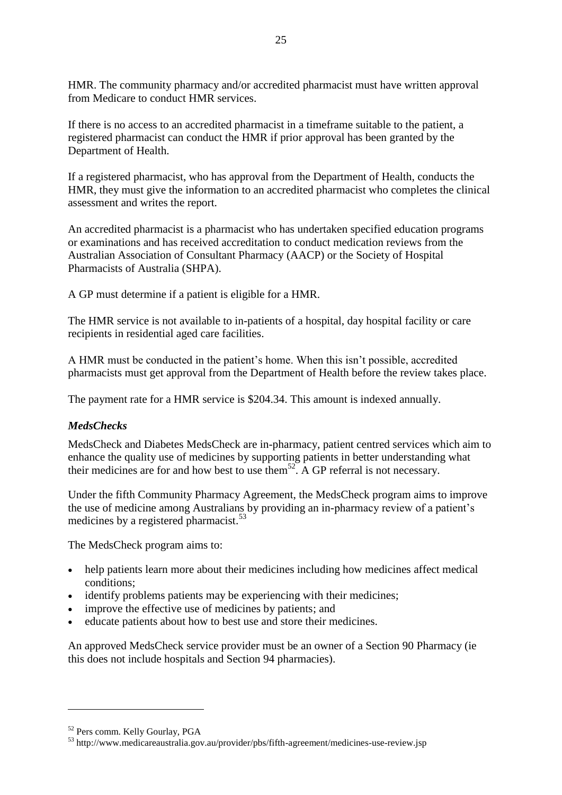HMR. The community pharmacy and/or accredited pharmacist must have written approval from Medicare to conduct HMR services.

If there is no access to an accredited pharmacist in a timeframe suitable to the patient, a registered pharmacist can conduct the HMR if prior approval has been granted by the Department of Health.

If a registered pharmacist, who has approval from the Department of Health, conducts the HMR, they must give the information to an accredited pharmacist who completes the clinical assessment and writes the report.

An accredited pharmacist is a pharmacist who has undertaken specified education programs or examinations and has received accreditation to conduct medication reviews from the Australian Association of Consultant Pharmacy (AACP) or the Society of Hospital Pharmacists of Australia (SHPA).

A GP must determine if a patient is eligible for a HMR.

The HMR service is not available to in-patients of a hospital, day hospital facility or care recipients in residential aged care facilities.

A HMR must be conducted in the patient's home. When this isn't possible, accredited pharmacists must get approval from the Department of Health before the review takes place.

The payment rate for a HMR service is \$204.34. This amount is indexed annually.

# *MedsChecks*

MedsCheck and Diabetes MedsCheck are in-pharmacy, patient centred services which aim to enhance the quality use of medicines by supporting patients in better understanding what their medicines are for and how best to use them<sup>52</sup>. A GP referral is not necessary.

Under the fifth Community Pharmacy Agreement, the MedsCheck program aims to improve the use of medicine among Australians by providing an in-pharmacy review of a patient's medicines by a registered pharmacist. 53

The MedsCheck program aims to:

- help patients learn more about their medicines including how medicines affect medical conditions;
- identify problems patients may be experiencing with their medicines;
- improve the effective use of medicines by patients; and
- educate patients about how to best use and store their medicines.

An approved MedsCheck service provider must be an owner of a Section 90 Pharmacy (ie this does not include hospitals and Section 94 pharmacies).

<sup>52</sup> Pers comm. Kelly Gourlay, PGA

<sup>53</sup> http://www.medicareaustralia.gov.au/provider/pbs/fifth-agreement/medicines-use-review.jsp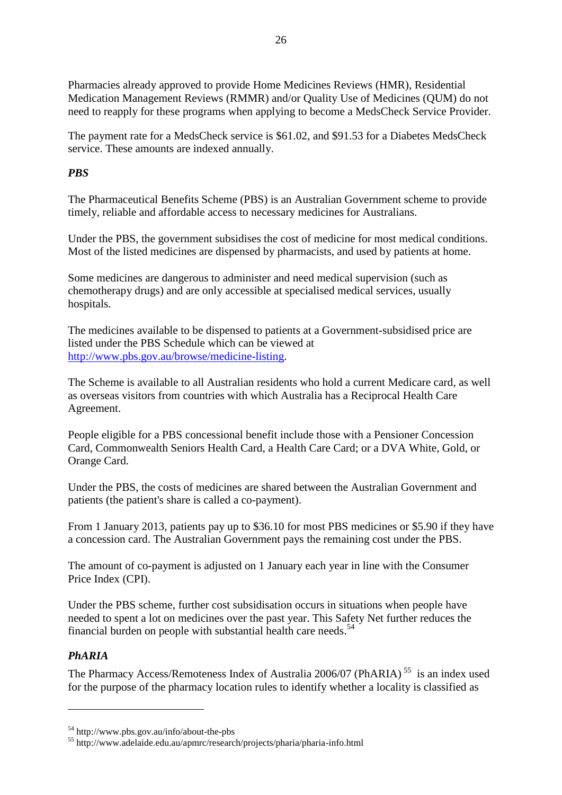Pharmacies already approved to provide Home Medicines Reviews (HMR), Residential Medication Management Reviews (RMMR) and/or Quality Use of Medicines (QUM) do not need to reapply for these programs when applying to become a MedsCheck Service Provider.

The payment rate for a MedsCheck service is \$61.02, and \$91.53 for a Diabetes MedsCheck service. These amounts are indexed annually.

#### *PBS*

The Pharmaceutical Benefits Scheme (PBS) is an Australian Government scheme to provide timely, reliable and affordable access to necessary medicines for Australians.

Under the PBS, the government subsidises the cost of medicine for most medical conditions. Most of the listed medicines are dispensed by pharmacists, and used by patients at home.

Some medicines are dangerous to administer and need medical supervision (such as chemotherapy drugs) and are only accessible at specialised medical services, usually hospitals.

The medicines available to be dispensed to patients at a Government-subsidised price are listed under the PBS Schedule which can be viewed at [http://www.pbs.gov.au/browse/medicine-listing.](http://www.pbs.gov.au/browse/medicine-listing)

The Scheme is available to all Australian residents who hold a current Medicare card, as well as overseas visitors from countries with which Australia has a Reciprocal Health Care Agreement.

People eligible for a PBS concessional benefit include those with a Pensioner Concession Card, Commonwealth Seniors Health Card, a Health Care Card; or a DVA White, Gold, or Orange Card.

Under the PBS, the costs of medicines are shared between the Australian Government and patients (the patient's share is called a co-payment).

From 1 January 2013, patients pay up to \$36.10 for most PBS medicines or \$5.90 if they have a concession card. The Australian Government pays the remaining cost under the PBS.

The amount of co-payment is adjusted on 1 January each year in line with the Consumer Price Index (CPI).

Under the PBS scheme, further cost subsidisation occurs in situations when people have needed to spent a lot on medicines over the past year. This Safety Net further reduces the financial burden on people with substantial health care needs.<sup>54</sup>

## *PhARIA*

1

The Pharmacy Access/Remoteness Index of Australia 2006/07 (PhARIA)<sup>55</sup> is an index used for the purpose of the pharmacy location rules to identify whether a locality is classified as

<sup>54</sup> http://www.pbs.gov.au/info/about-the-pbs

<sup>55</sup> http://www.adelaide.edu.au/apmrc/research/projects/pharia/pharia-info.html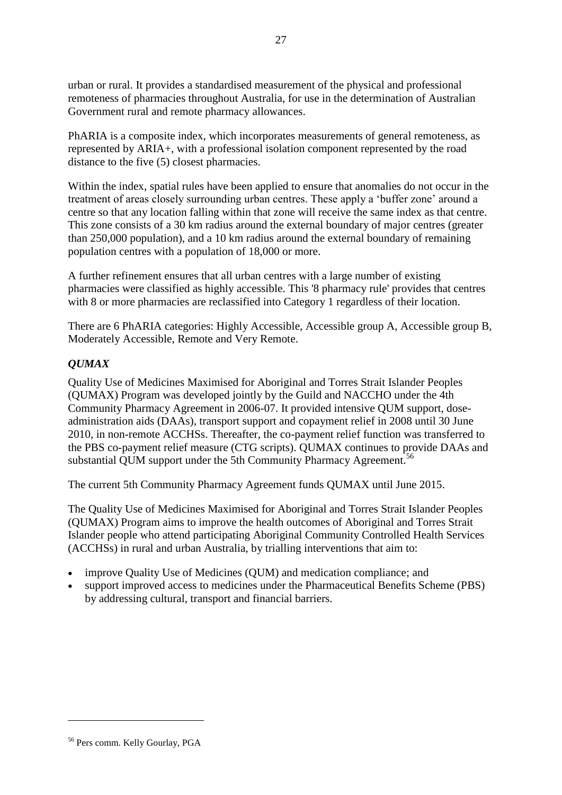urban or rural. It provides a standardised measurement of the physical and professional remoteness of pharmacies throughout Australia, for use in the determination of Australian Government rural and remote pharmacy allowances.

PhARIA is a composite index, which incorporates measurements of general remoteness, as represented by ARIA+, with a professional isolation component represented by the road distance to the five (5) closest pharmacies.

Within the index, spatial rules have been applied to ensure that anomalies do not occur in the treatment of areas closely surrounding urban centres. These apply a 'buffer zone' around a centre so that any location falling within that zone will receive the same index as that centre. This zone consists of a 30 km radius around the external boundary of major centres (greater than 250,000 population), and a 10 km radius around the external boundary of remaining population centres with a population of 18,000 or more.

A further refinement ensures that all urban centres with a large number of existing pharmacies were classified as highly accessible. This '8 pharmacy rule' provides that centres with 8 or more pharmacies are reclassified into Category 1 regardless of their location.

There are 6 PhARIA categories: Highly Accessible, Accessible group A, Accessible group B, Moderately Accessible, Remote and Very Remote.

## *QUMAX*

Quality Use of Medicines Maximised for Aboriginal and Torres Strait Islander Peoples (QUMAX) Program was developed jointly by the Guild and NACCHO under the 4th Community Pharmacy Agreement in 2006-07. It provided intensive QUM support, doseadministration aids (DAAs), transport support and copayment relief in 2008 until 30 June 2010, in non-remote ACCHSs. Thereafter, the co-payment relief function was transferred to the PBS co-payment relief measure (CTG scripts). QUMAX continues to provide DAAs and substantial QUM support under the 5th Community Pharmacy Agreement.<sup>56</sup>

The current 5th Community Pharmacy Agreement funds QUMAX until June 2015.

The Quality Use of Medicines Maximised for Aboriginal and Torres Strait Islander Peoples (QUMAX) Program aims to improve the health outcomes of Aboriginal and Torres Strait Islander people who attend participating Aboriginal Community Controlled Health Services (ACCHSs) in rural and urban Australia, by trialling interventions that aim to:

- improve Quality Use of Medicines (QUM) and medication compliance; and
- support improved access to medicines under the Pharmaceutical Benefits Scheme (PBS) by addressing cultural, transport and financial barriers.

<sup>56</sup> Pers comm. Kelly Gourlay, PGA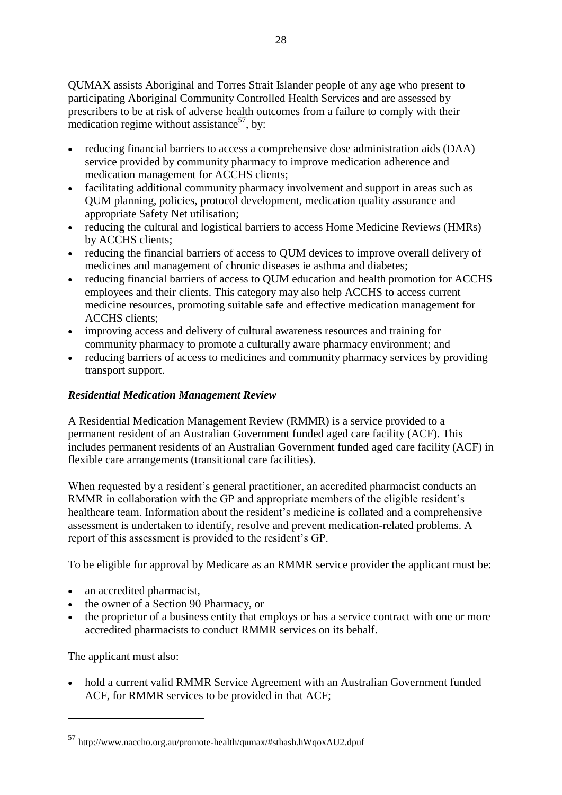QUMAX assists Aboriginal and Torres Strait Islander people of any age who present to participating Aboriginal Community Controlled Health Services and are assessed by prescribers to be at risk of adverse health outcomes from a failure to comply with their medication regime without assistance<sup>57</sup>, by:

- reducing financial barriers to access a comprehensive dose administration aids (DAA) service provided by community pharmacy to improve medication adherence and medication management for ACCHS clients;
- facilitating additional community pharmacy involvement and support in areas such as QUM planning, policies, protocol development, medication quality assurance and appropriate Safety Net utilisation;
- reducing the cultural and logistical barriers to access Home Medicine Reviews (HMRs) by ACCHS clients;
- reducing the financial barriers of access to QUM devices to improve overall delivery of medicines and management of chronic diseases ie asthma and diabetes;
- reducing financial barriers of access to QUM education and health promotion for ACCHS employees and their clients. This category may also help ACCHS to access current medicine resources, promoting suitable safe and effective medication management for ACCHS clients;
- improving access and delivery of cultural awareness resources and training for community pharmacy to promote a culturally aware pharmacy environment; and
- reducing barriers of access to medicines and community pharmacy services by providing transport support.

#### *Residential Medication Management Review*

A Residential Medication Management Review (RMMR) is a service provided to a permanent resident of an Australian Government funded aged care facility (ACF). This includes permanent residents of an Australian Government funded aged care facility (ACF) in flexible care arrangements (transitional care facilities).

When requested by a resident's general practitioner, an accredited pharmacist conducts an RMMR in collaboration with the GP and appropriate members of the eligible resident's healthcare team. Information about the resident's medicine is collated and a comprehensive assessment is undertaken to identify, resolve and prevent medication-related problems. A report of this assessment is provided to the resident's GP.

To be eligible for approval by Medicare as an RMMR service provider the applicant must be:

- an accredited pharmacist,
- the owner of a Section 90 Pharmacy, or
- the proprietor of a business entity that employs or has a service contract with one or more accredited pharmacists to conduct RMMR services on its behalf.

The applicant must also:

<u>.</u>

• hold a current valid RMMR Service Agreement with an Australian Government funded ACF, for RMMR services to be provided in that ACF;

<sup>57</sup> http://www.naccho.org.au/promote-health/qumax/#sthash.hWqoxAU2.dpuf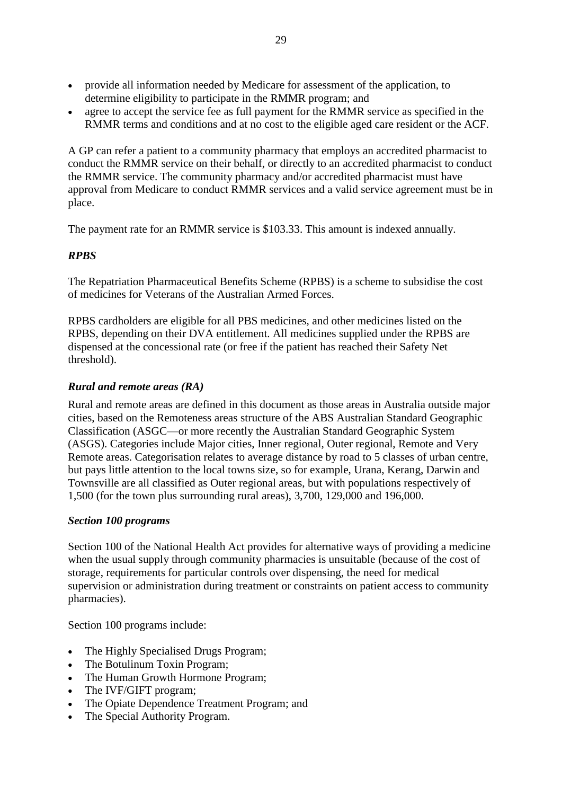- provide all information needed by Medicare for assessment of the application, to determine eligibility to participate in the RMMR program; and
- agree to accept the service fee as full payment for the RMMR service as specified in the RMMR terms and conditions and at no cost to the eligible aged care resident or the ACF.

A GP can refer a patient to a community pharmacy that employs an accredited pharmacist to conduct the RMMR service on their behalf, or directly to an accredited pharmacist to conduct the RMMR service. The community pharmacy and/or accredited pharmacist must have approval from Medicare to conduct RMMR services and a valid service agreement must be in place.

The payment rate for an RMMR service is \$103.33. This amount is indexed annually.

## *RPBS*

The Repatriation Pharmaceutical Benefits Scheme (RPBS) is a scheme to subsidise the cost of medicines for Veterans of the Australian Armed Forces.

RPBS cardholders are eligible for all PBS medicines, and other medicines listed on the RPBS, depending on their DVA entitlement. All medicines supplied under the RPBS are dispensed at the concessional rate (or free if the patient has reached their Safety Net threshold).

## *Rural and remote areas (RA)*

Rural and remote areas are defined in this document as those areas in Australia outside major cities, based on the Remoteness areas structure of the ABS Australian Standard Geographic Classification (ASGC—or more recently the Australian Standard Geographic System (ASGS). Categories include Major cities, Inner regional, Outer regional, Remote and Very Remote areas. Categorisation relates to average distance by road to 5 classes of urban centre, but pays little attention to the local towns size, so for example, Urana, Kerang, Darwin and Townsville are all classified as Outer regional areas, but with populations respectively of 1,500 (for the town plus surrounding rural areas), 3,700, 129,000 and 196,000.

## *Section 100 programs*

Section 100 of the National Health Act provides for alternative ways of providing a medicine when the usual supply through community pharmacies is unsuitable (because of the cost of storage, requirements for particular controls over dispensing, the need for medical supervision or administration during treatment or constraints on patient access to community pharmacies).

Section 100 programs include:

- The Highly Specialised Drugs Program;
- The Botulinum Toxin Program;
- The Human Growth Hormone Program;
- The IVF/GIFT program;
- The Opiate Dependence Treatment Program; and
- The Special Authority Program.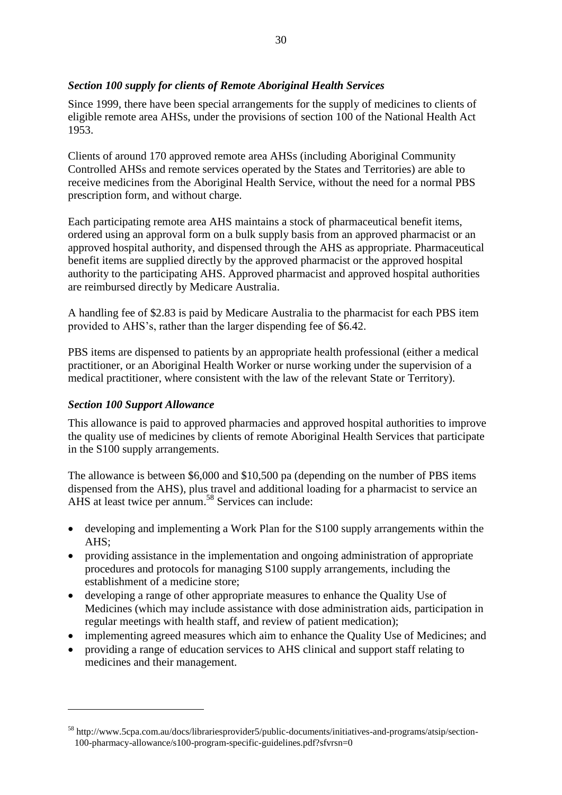## *Section 100 supply for clients of Remote Aboriginal Health Services*

Since 1999, there have been special arrangements for the supply of medicines to clients of eligible remote area AHSs, under the provisions of section 100 of the National Health Act 1953.

Clients of around 170 approved remote area AHSs (including Aboriginal Community Controlled AHSs and remote services operated by the States and Territories) are able to receive medicines from the Aboriginal Health Service, without the need for a normal PBS prescription form, and without charge.

Each participating remote area AHS maintains a stock of pharmaceutical benefit items, ordered using an approval form on a bulk supply basis from an approved pharmacist or an approved hospital authority, and dispensed through the AHS as appropriate. Pharmaceutical benefit items are supplied directly by the approved pharmacist or the approved hospital authority to the participating AHS. Approved pharmacist and approved hospital authorities are reimbursed directly by Medicare Australia.

A handling fee of \$2.83 is paid by Medicare Australia to the pharmacist for each PBS item provided to AHS's, rather than the larger dispending fee of \$6.42.

PBS items are dispensed to patients by an appropriate health professional (either a medical practitioner, or an Aboriginal Health Worker or nurse working under the supervision of a medical practitioner, where consistent with the law of the relevant State or Territory).

## *Section 100 Support Allowance*

1

This allowance is paid to approved pharmacies and approved hospital authorities to improve the quality use of medicines by clients of remote Aboriginal Health Services that participate in the S100 supply arrangements.

The allowance is between \$6,000 and \$10,500 pa (depending on the number of PBS items dispensed from the AHS), plus travel and additional loading for a pharmacist to service an AHS at least twice per annum.<sup>58</sup> Services can include:

- developing and implementing a Work Plan for the S100 supply arrangements within the AHS;
- providing assistance in the implementation and ongoing administration of appropriate procedures and protocols for managing S100 supply arrangements, including the establishment of a medicine store;
- developing a range of other appropriate measures to enhance the Quality Use of Medicines (which may include assistance with dose administration aids, participation in regular meetings with health staff, and review of patient medication);
- implementing agreed measures which aim to enhance the Quality Use of Medicines; and
- providing a range of education services to AHS clinical and support staff relating to medicines and their management.

<sup>58</sup> http://www.5cpa.com.au/docs/librariesprovider5/public-documents/initiatives-and-programs/atsip/section-100-pharmacy-allowance/s100-program-specific-guidelines.pdf?sfvrsn=0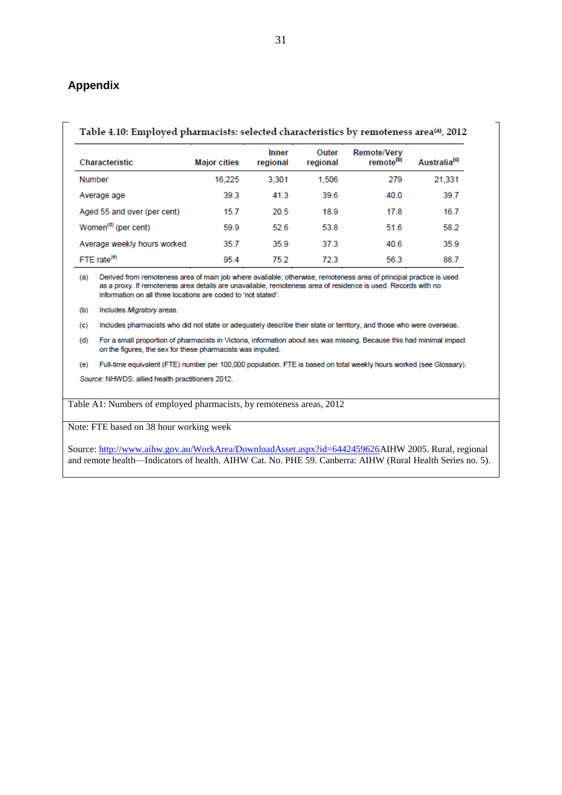#### <span id="page-30-0"></span>**Appendix**

#### Table 4.10: Employed pharmacists: selected characteristics by remoteness area<sup>(a)</sup>, 2012

| <b>Characteristic</b>           | <b>Major cities</b> | Inner<br>regional | Outer<br>regional | <b>Remote/Verv</b><br>remote <sup>(b)</sup> | Australia <sup>(c)</sup> |
|---------------------------------|---------------------|-------------------|-------------------|---------------------------------------------|--------------------------|
| Number                          | 16.225              | 3.301             | 1,506             | 279                                         | 21,331                   |
| Average age                     | 39.3                | 41.3              | 39.6              | 40.0                                        | 39.7                     |
| Aged 55 and over (per cent)     | 15.7                | 20.5              | 18.9              | 17.8                                        | 16.7                     |
| Women <sup>(d)</sup> (per cent) | 59.9                | 52.6              | 53.8              | 51.6                                        | 58.2                     |
| Average weekly hours worked     | 35.7                | 35.9              | 37.3              | 40.6                                        | 35.9                     |
| FTE rate <sup>(e)</sup>         | 95.4                | 75.2              | 723               | 56.3                                        | 88.7                     |

(a) Derived from remoteness area of main job where available; otherwise, remoteness area of principal practice is used as a proxy. If remoteness area details are unavailable, remoteness area of residence is used. Records with no information on all three locations are coded to 'not stated'.

Includes Migratory areas.  $(b)$ 

 $(c)$ Includes pharmacists who did not state or adequately describe their state or territory, and those who were overseas.

For a small proportion of pharmacists in Victoria, information about sex was missing. Because this had minimal impact  $(d)$ on the figures, the sex for these pharmacists was imputed.

(e) Full-time equivalent (FTE) number per 100,000 population. FTE is based on total weekly hours worked (see Glossary).

Source: NHWDS: allied health practitioners 2012.

Table A1: Numbers of employed pharmacists, by remoteness areas, 2012

Note: FTE based on 38 hour working week

Source: [http://www.aihw.gov.au/WorkArea/DownloadAsset.aspx?id=6442459626A](http://www.aihw.gov.au/WorkArea/DownloadAsset.aspx?id=6442459626)IHW 2005. Rural, regional and remote health—Indicators of health. AIHW Cat. No. PHE 59. Canberra: AIHW (Rural Health Series no. 5).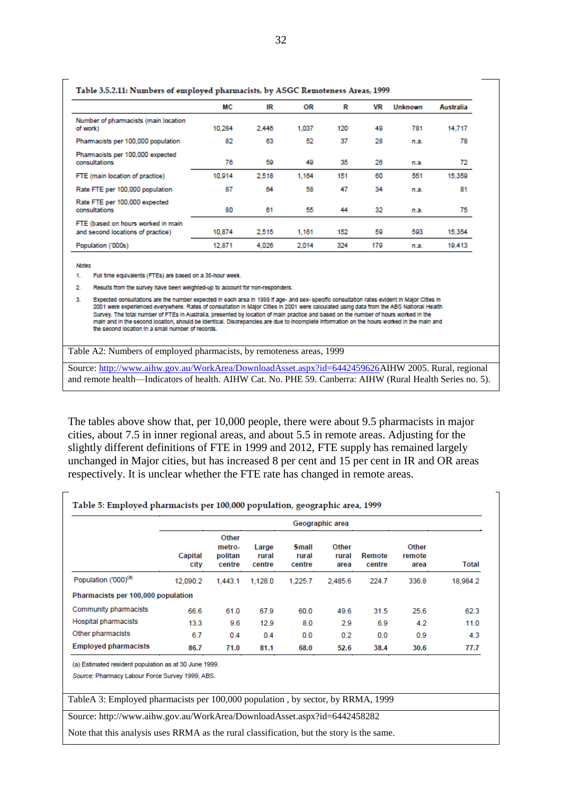|                                                                         | ΜС     | IR    | OR    | R   | VR  | <b>Unknown</b> | Australia |
|-------------------------------------------------------------------------|--------|-------|-------|-----|-----|----------------|-----------|
| Number of pharmacists (main location<br>of work)                        | 10,284 | 2,446 | 1,037 | 120 | 49  | 781            | 14.717    |
| Pharmacists per 100,000 population                                      | 82     | 63    | 52    | 37  | 28  | n.a.           | 78        |
| Pharmacists per 100,000 expected<br>consultations                       | 76     | 59    | 49    | 35  | 26  | n.a.           | 72        |
| FTE (main location of practice)                                         | 10,914 | 2.518 | 1.164 | 151 | 60  | 551            | 15,359    |
| Rate FTE per 100,000 population                                         | 87     | 64    | 58    | 47  | 34  | n.a.           | 81        |
| Rate FTE per 100,000 expected<br>consultations                          | 80     | 61    | 55    | 44  | 32  | n.a.           | 75        |
| FTE (based on hours worked in main<br>and second locations of practice) | 10,874 | 2,515 | 1,161 | 152 | 59  | 593            | 15,354    |
| Population ('000s)                                                      | 12,871 | 4,026 | 2,014 | 324 | 179 | n.a.           | 19,413    |

#### Table 2.5.2.11. Numbers of comband phomocity by ASCC Remeteress Areas 1000

**Notes** 

 $\mathbf{L}$ Full time equivalents (FTEs) are based on a 35-hour week.

 $2<sup>1</sup>$ Results from the survey have been weighted-up to account for non-responders.

Expected consultations are the number expected in each area in 1999 if age- and sex-specific consultation rates evident in Major Cities in 3. 2001 were experienced everywhere. Rates of consultation in Major Cities in 2001 were calculated using data from the ABS National Health Survey. The total number of FTEs in Australia, presented by location of main practice and based on the number of hours worked in the main and in the second location, should be identical. Discrepancies are due to incomplete information on the hours worked in the main and the second location in a small number of records.

Table A2: Numbers of employed pharmacists, by remoteness areas, 1999

Source: [http://www.aihw.gov.au/WorkArea/DownloadAsset.aspx?id=6442459626A](http://www.aihw.gov.au/WorkArea/DownloadAsset.aspx?id=6442459626)IHW 2005. Rural, regional and remote health—Indicators of health. AIHW Cat. No. PHE 59. Canberra: AIHW (Rural Health Series no. 5).

The tables above show that, per 10,000 people, there were about 9.5 pharmacists in major cities, about 7.5 in inner regional areas, and about 5.5 in remote areas. Adjusting for the slightly different definitions of FTE in 1999 and 2012, FTE supply has remained largely unchanged in Major cities, but has increased 8 per cent and 15 per cent in IR and OR areas respectively. It is unclear whether the FTE rate has changed in remote areas.

|                                    | Geographic area |                                      |                          |                                 |                        |                  |                         |              |  |
|------------------------------------|-----------------|--------------------------------------|--------------------------|---------------------------------|------------------------|------------------|-------------------------|--------------|--|
|                                    | Capital<br>city | Other<br>metro-<br>politan<br>centre | Large<br>rural<br>centre | <b>Small</b><br>rural<br>centre | Other<br>rural<br>area | Remote<br>centre | Other<br>remote<br>area | <b>Total</b> |  |
| Population ('000) <sup>(a)</sup>   | 12.090.2        | 1,443.1                              | 1.128.0                  | 1.225.7                         | 2.485.6                | 224.7            | 336.8                   | 18,984.2     |  |
| Pharmacists per 100,000 population |                 |                                      |                          |                                 |                        |                  |                         |              |  |
| Community pharmacists              | 66.6            | 61.0                                 | 67.9                     | 60.0                            | 49.6                   | 31.5             | 25.6                    | 62.3         |  |
| <b>Hospital pharmacists</b>        | 13.3            | 9.6                                  | 12.9                     | 8.0                             | 2.9                    | 6.9              | 4.2                     | 11.0         |  |
| Other pharmacists                  | 6.7             | 0.4                                  | 0.4                      | 0.0                             | 0.2                    | 0.0              | 0.9                     | 4.3          |  |
| <b>Employed pharmacists</b>        | 86.7            | 71.0                                 | 81.1                     | 68.0                            | 52.6                   | 38.4             | 30.6                    | 77.7         |  |

Source: Pharmacy Labour Force Survey 1999; ABS.

TableA 3: Employed pharmacists per 100,000 population , by sector, by RRMA, 1999

Source:<http://www.aihw.gov.au/WorkArea/DownloadAsset.aspx?id=6442458282>

Note that this analysis uses RRMA as the rural classification, but the story is the same.